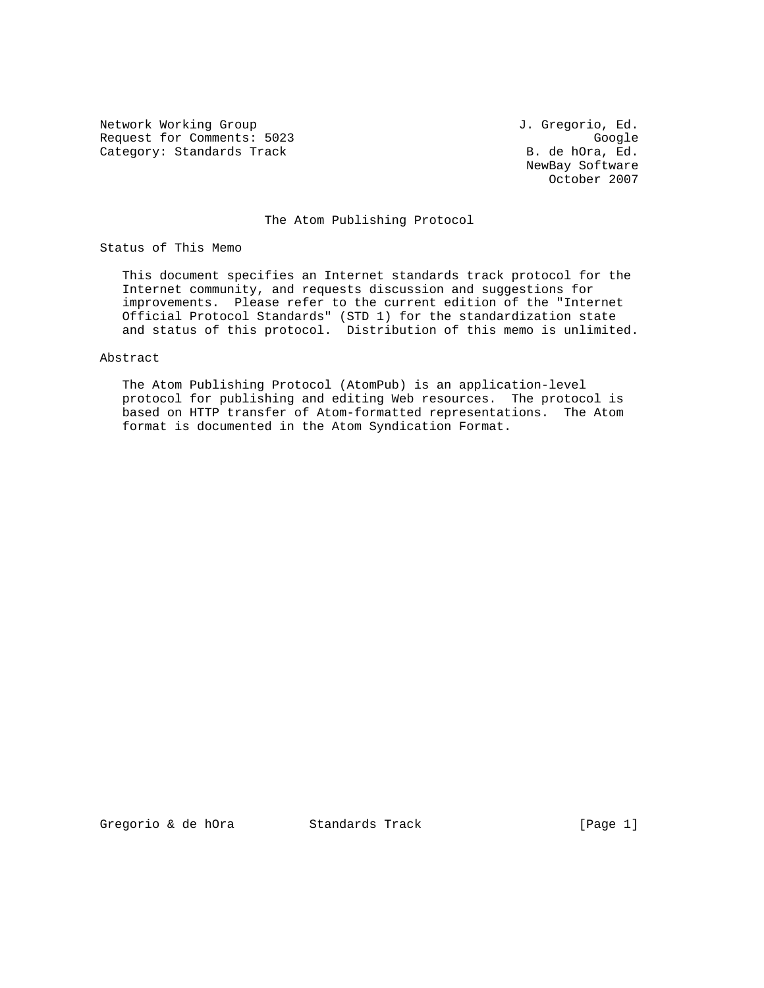Network Working Group and Alexander Month J. Gregorio, Ed. Request for Comments: 5023 Google (General According Category: Standards Track Category: Standards Track Category: B. de hOra, Ed. Category: Standards Track

 NewBay Software October 2007

## The Atom Publishing Protocol

Status of This Memo

 This document specifies an Internet standards track protocol for the Internet community, and requests discussion and suggestions for improvements. Please refer to the current edition of the "Internet Official Protocol Standards" (STD 1) for the standardization state and status of this protocol. Distribution of this memo is unlimited.

## Abstract

 The Atom Publishing Protocol (AtomPub) is an application-level protocol for publishing and editing Web resources. The protocol is based on HTTP transfer of Atom-formatted representations. The Atom format is documented in the Atom Syndication Format.

Gregorio & de hOra Standards Track [Page 1]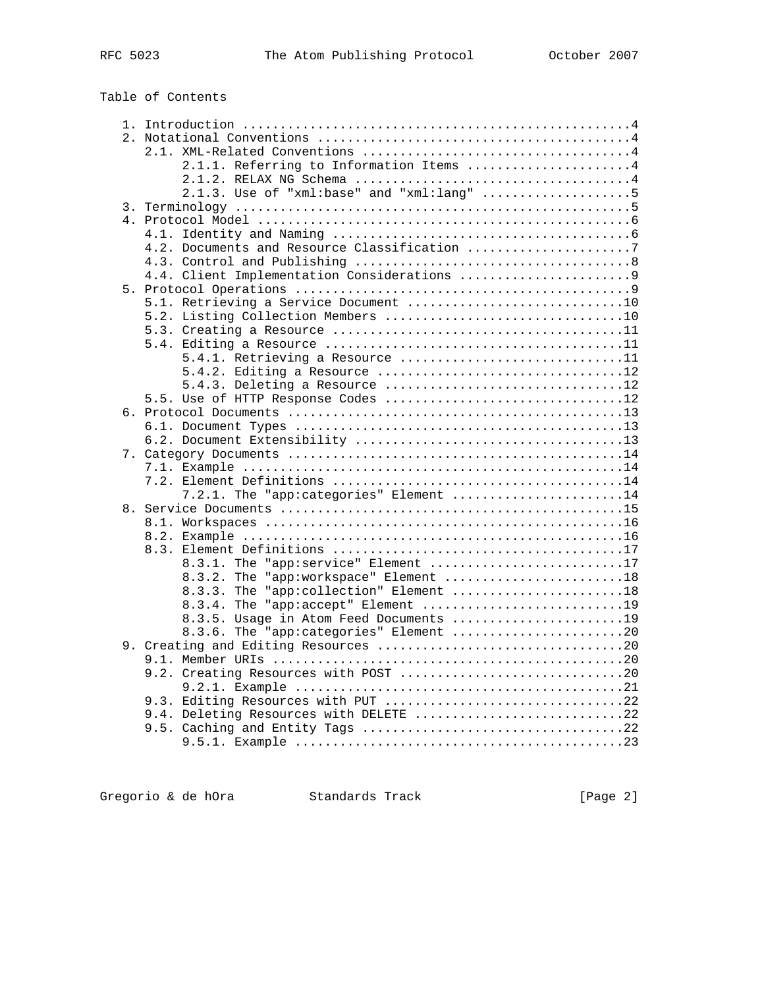Table of Contents

|  | 2.1.1. Referring to Information Items 4     |
|--|---------------------------------------------|
|  |                                             |
|  | $2.1.3.$ Use of "xml:base" and "xml:lang" 5 |
|  |                                             |
|  |                                             |
|  |                                             |
|  |                                             |
|  |                                             |
|  |                                             |
|  |                                             |
|  |                                             |
|  |                                             |
|  |                                             |

|  | 5.1. Retrieving a Service Document 10  |
|--|----------------------------------------|
|  |                                        |
|  |                                        |
|  |                                        |
|  | 5.4.1. Retrieving a Resource 11        |
|  | 5.4.2. Editing a Resource 12           |
|  | 5.4.3. Deleting a Resource 12          |
|  | 5.5. Use of HTTP Response Codes 12     |
|  |                                        |
|  |                                        |
|  |                                        |
|  |                                        |
|  |                                        |
|  |                                        |
|  | 7.2.1. The "app:categories" Element 14 |
|  |                                        |
|  |                                        |
|  |                                        |
|  |                                        |
|  | 8.3.1. The "app:service" Element 17    |
|  | 8.3.2. The "app:workspace" Element 18  |
|  | 8.3.3. The "app:collection" Element 18 |
|  | 8.3.4. The "app:accept" Element 19     |
|  | 8.3.5. Usage in Atom Feed Documents 19 |
|  | 8.3.6. The "app:categories" Element 20 |
|  |                                        |
|  |                                        |
|  |                                        |
|  |                                        |
|  | 9.3. Editing Resources with PUT 22     |
|  | 9.4. Deleting Resources with DELETE 22 |
|  |                                        |
|  |                                        |

Gregorio & de hOra Standards Track [Page 2]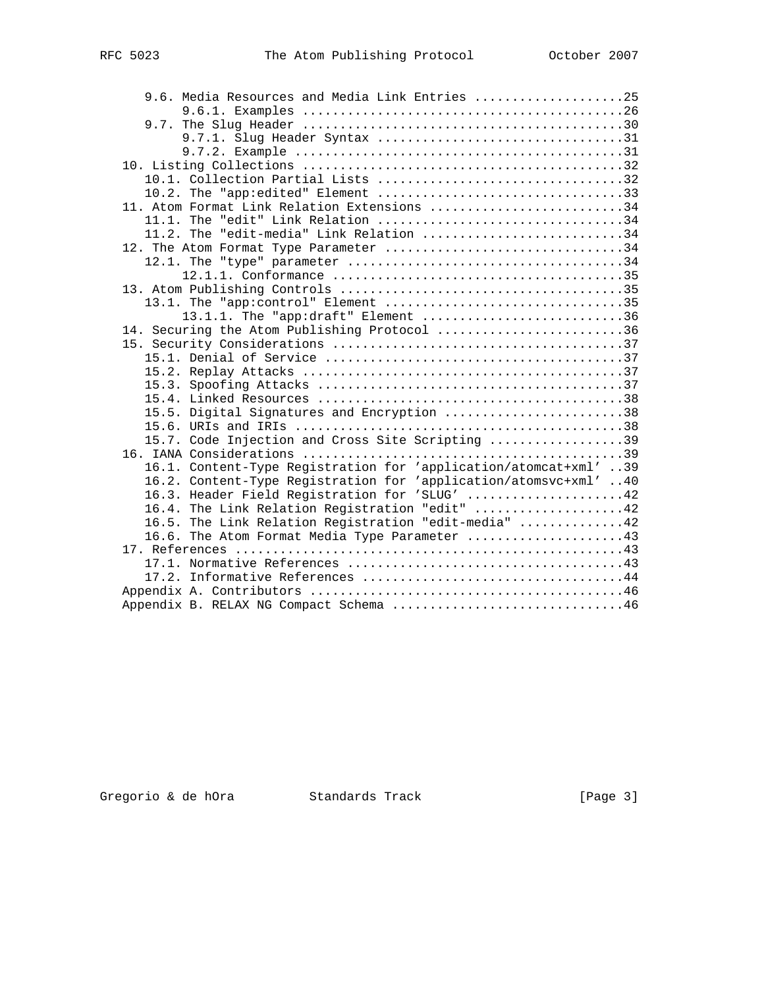| 9.6. Media Resources and Media Link Entries 25                   |  |
|------------------------------------------------------------------|--|
|                                                                  |  |
|                                                                  |  |
|                                                                  |  |
|                                                                  |  |
|                                                                  |  |
|                                                                  |  |
| 10.2. The "app:edited" Element 33                                |  |
| 11. Atom Format Link Relation Extensions 34                      |  |
|                                                                  |  |
| 11.2. The "edit-media" Link Relation 34                          |  |
| 12. The Atom Format Type Parameter 34                            |  |
|                                                                  |  |
|                                                                  |  |
|                                                                  |  |
| 13.1. The "app:control" Element 35                               |  |
| 13.1.1. The "app:draft" Element 36                               |  |
| 14. Securing the Atom Publishing Protocol 36                     |  |
|                                                                  |  |
|                                                                  |  |
|                                                                  |  |
|                                                                  |  |
|                                                                  |  |
| 15.5. Digital Signatures and Encryption 38                       |  |
|                                                                  |  |
| 15.7. Code Injection and Cross Site Scripting 39                 |  |
|                                                                  |  |
| 16.1. Content-Type Registration for 'application/atomcat+xml' 39 |  |
| 16.2. Content-Type Registration for 'application/atomsvc+xml' 40 |  |
| 16.3. Header Field Registration for 'SLUG' 42                    |  |
| 16.4. The Link Relation Registration "edit" 42                   |  |
| 16.5. The Link Relation Registration "edit-media" 42             |  |
| 16.6. The Atom Format Media Type Parameter 43                    |  |
|                                                                  |  |
|                                                                  |  |
|                                                                  |  |
|                                                                  |  |
| Appendix B. RELAX NG Compact Schema 46                           |  |

Gregorio & de hOra Standards Track [Page 3]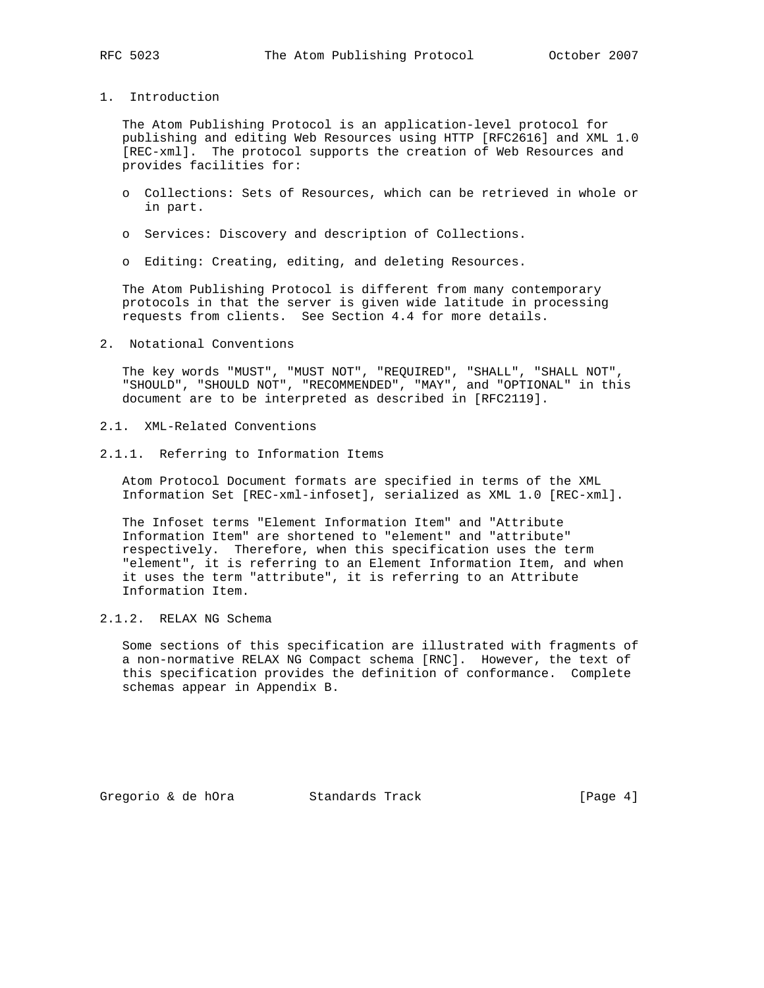## 1. Introduction

 The Atom Publishing Protocol is an application-level protocol for publishing and editing Web Resources using HTTP [RFC2616] and XML 1.0 [REC-xml]. The protocol supports the creation of Web Resources and provides facilities for:

- o Collections: Sets of Resources, which can be retrieved in whole or in part.
- o Services: Discovery and description of Collections.
- o Editing: Creating, editing, and deleting Resources.

 The Atom Publishing Protocol is different from many contemporary protocols in that the server is given wide latitude in processing requests from clients. See Section 4.4 for more details.

2. Notational Conventions

 The key words "MUST", "MUST NOT", "REQUIRED", "SHALL", "SHALL NOT", "SHOULD", "SHOULD NOT", "RECOMMENDED", "MAY", and "OPTIONAL" in this document are to be interpreted as described in [RFC2119].

- 2.1. XML-Related Conventions
- 2.1.1. Referring to Information Items

 Atom Protocol Document formats are specified in terms of the XML Information Set [REC-xml-infoset], serialized as XML 1.0 [REC-xml].

 The Infoset terms "Element Information Item" and "Attribute Information Item" are shortened to "element" and "attribute" respectively. Therefore, when this specification uses the term "element", it is referring to an Element Information Item, and when it uses the term "attribute", it is referring to an Attribute Information Item.

# 2.1.2. RELAX NG Schema

 Some sections of this specification are illustrated with fragments of a non-normative RELAX NG Compact schema [RNC]. However, the text of this specification provides the definition of conformance. Complete schemas appear in Appendix B.

Gregorio & de hOra  $S$  Standards Track [Page 4]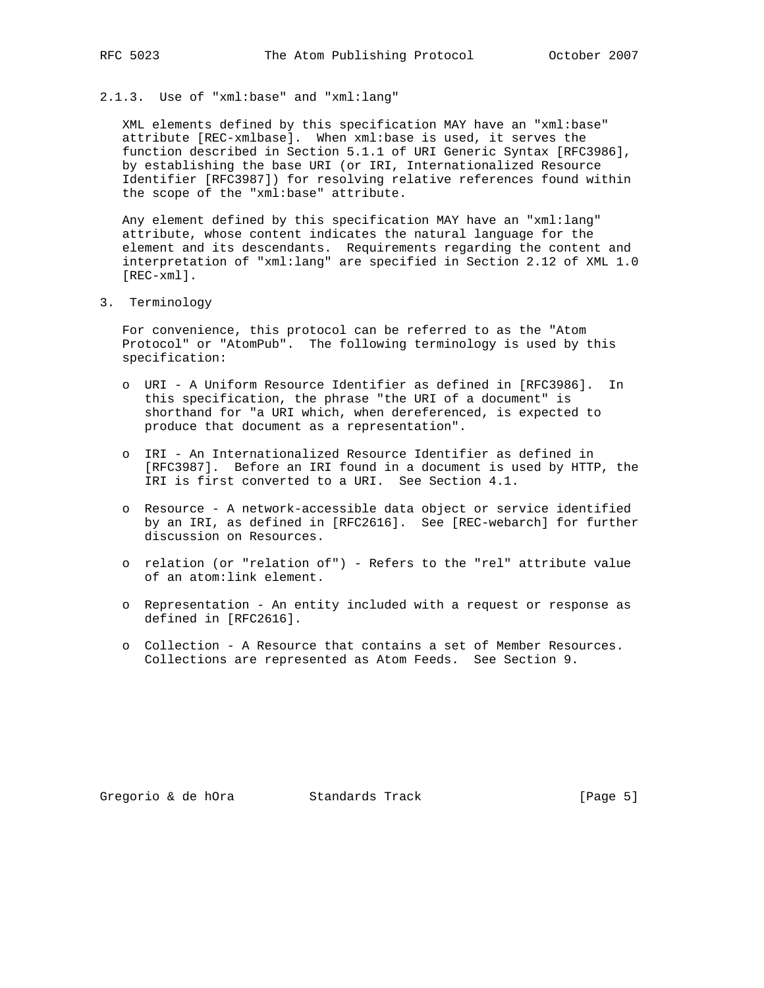## 2.1.3. Use of "xml:base" and "xml:lang"

 XML elements defined by this specification MAY have an "xml:base" attribute [REC-xmlbase]. When xml:base is used, it serves the function described in Section 5.1.1 of URI Generic Syntax [RFC3986], by establishing the base URI (or IRI, Internationalized Resource Identifier [RFC3987]) for resolving relative references found within the scope of the "xml:base" attribute.

 Any element defined by this specification MAY have an "xml:lang" attribute, whose content indicates the natural language for the element and its descendants. Requirements regarding the content and interpretation of "xml:lang" are specified in Section 2.12 of XML 1.0 [REC-xml].

3. Terminology

 For convenience, this protocol can be referred to as the "Atom Protocol" or "AtomPub". The following terminology is used by this specification:

- o URI A Uniform Resource Identifier as defined in [RFC3986]. In this specification, the phrase "the URI of a document" is shorthand for "a URI which, when dereferenced, is expected to produce that document as a representation".
- o IRI An Internationalized Resource Identifier as defined in [RFC3987]. Before an IRI found in a document is used by HTTP, the IRI is first converted to a URI. See Section 4.1.
- o Resource A network-accessible data object or service identified by an IRI, as defined in [RFC2616]. See [REC-webarch] for further discussion on Resources.
- o relation (or "relation of") Refers to the "rel" attribute value of an atom:link element.
- o Representation An entity included with a request or response as defined in [RFC2616].
- o Collection A Resource that contains a set of Member Resources. Collections are represented as Atom Feeds. See Section 9.

Gregorio & de hOra Standards Track [Page 5]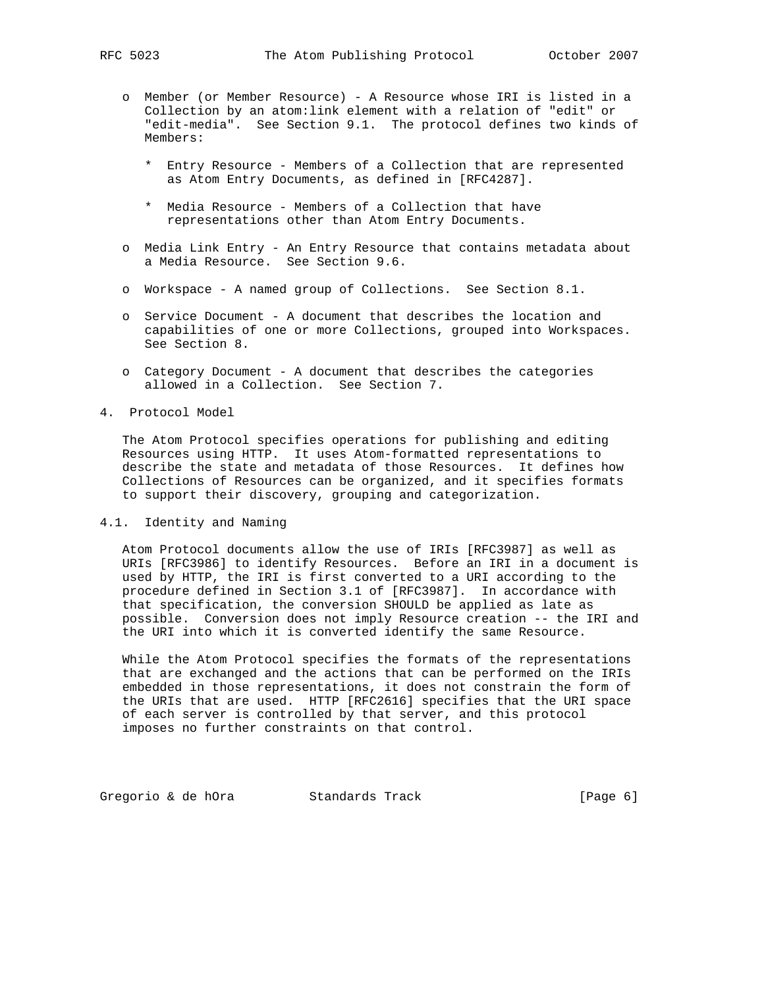- o Member (or Member Resource) A Resource whose IRI is listed in a Collection by an atom:link element with a relation of "edit" or "edit-media". See Section 9.1. The protocol defines two kinds of Members:
	- \* Entry Resource Members of a Collection that are represented as Atom Entry Documents, as defined in [RFC4287].
	- \* Media Resource Members of a Collection that have representations other than Atom Entry Documents.
- o Media Link Entry An Entry Resource that contains metadata about a Media Resource. See Section 9.6.
- o Workspace A named group of Collections. See Section 8.1.
- o Service Document A document that describes the location and capabilities of one or more Collections, grouped into Workspaces. See Section 8.
- o Category Document A document that describes the categories allowed in a Collection. See Section 7.
- 4. Protocol Model

 The Atom Protocol specifies operations for publishing and editing Resources using HTTP. It uses Atom-formatted representations to describe the state and metadata of those Resources. It defines how Collections of Resources can be organized, and it specifies formats to support their discovery, grouping and categorization.

4.1. Identity and Naming

 Atom Protocol documents allow the use of IRIs [RFC3987] as well as URIs [RFC3986] to identify Resources. Before an IRI in a document is used by HTTP, the IRI is first converted to a URI according to the procedure defined in Section 3.1 of [RFC3987]. In accordance with that specification, the conversion SHOULD be applied as late as possible. Conversion does not imply Resource creation -- the IRI and the URI into which it is converted identify the same Resource.

 While the Atom Protocol specifies the formats of the representations that are exchanged and the actions that can be performed on the IRIs embedded in those representations, it does not constrain the form of the URIs that are used. HTTP [RFC2616] specifies that the URI space of each server is controlled by that server, and this protocol imposes no further constraints on that control.

Gregorio & de hOra Standards Track [Page 6]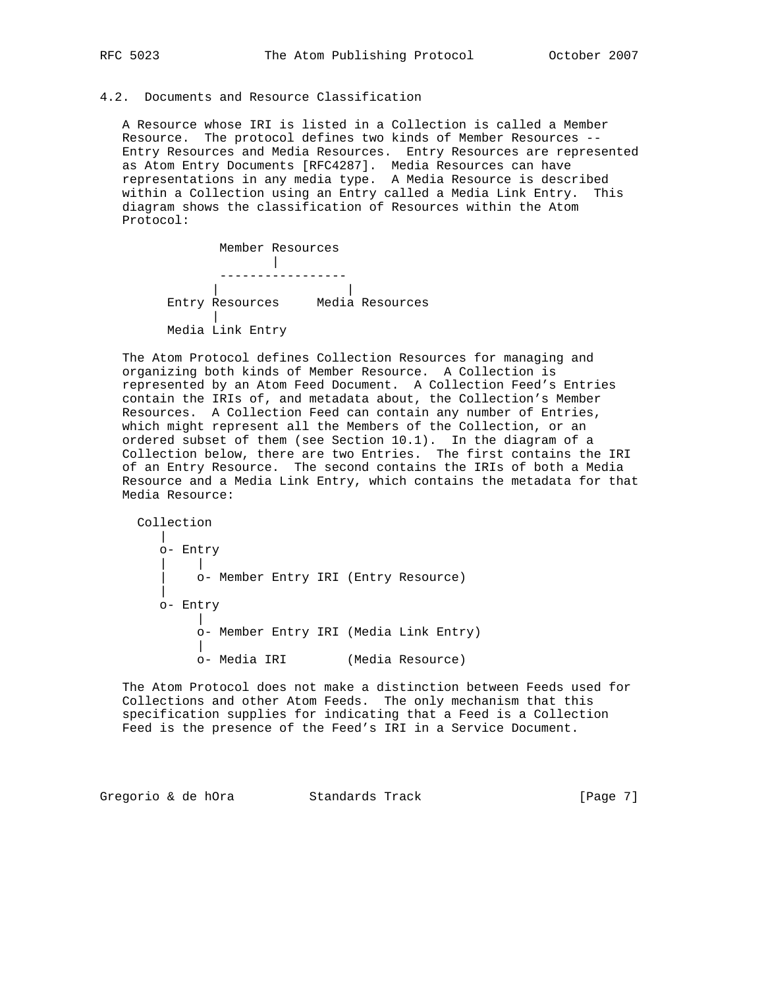## 4.2. Documents and Resource Classification

 A Resource whose IRI is listed in a Collection is called a Member Resource. The protocol defines two kinds of Member Resources -- Entry Resources and Media Resources. Entry Resources are represented as Atom Entry Documents [RFC4287]. Media Resources can have representations in any media type. A Media Resource is described within a Collection using an Entry called a Media Link Entry. This diagram shows the classification of Resources within the Atom Protocol:



 The Atom Protocol defines Collection Resources for managing and organizing both kinds of Member Resource. A Collection is represented by an Atom Feed Document. A Collection Feed's Entries contain the IRIs of, and metadata about, the Collection's Member Resources. A Collection Feed can contain any number of Entries, which might represent all the Members of the Collection, or an ordered subset of them (see Section 10.1). In the diagram of a Collection below, there are two Entries. The first contains the IRI of an Entry Resource. The second contains the IRIs of both a Media Resource and a Media Link Entry, which contains the metadata for that Media Resource:

 Collection | o- Entry | | | o- Member Entry IRI (Entry Resource) | o- Entry | o- Member Entry IRI (Media Link Entry) | o- Media IRI (Media Resource)

 The Atom Protocol does not make a distinction between Feeds used for Collections and other Atom Feeds. The only mechanism that this specification supplies for indicating that a Feed is a Collection Feed is the presence of the Feed's IRI in a Service Document.

Gregorio & de hOra Standards Track [Page 7]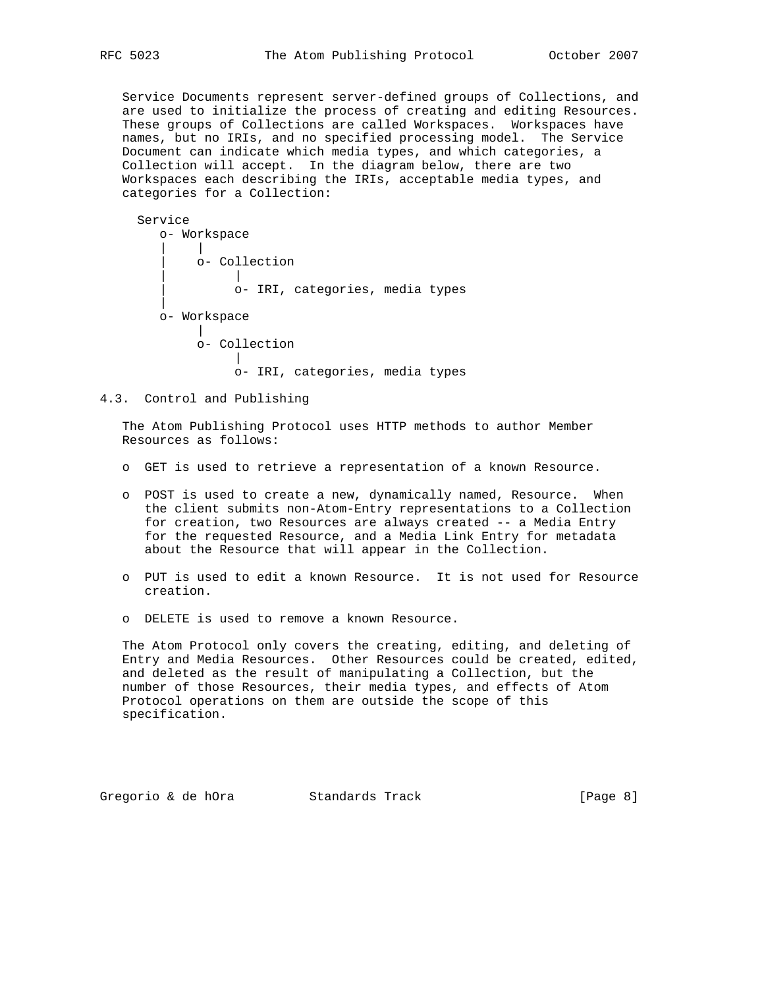Service Documents represent server-defined groups of Collections, and are used to initialize the process of creating and editing Resources. These groups of Collections are called Workspaces. Workspaces have names, but no IRIs, and no specified processing model. The Service Document can indicate which media types, and which categories, a Collection will accept. In the diagram below, there are two Workspaces each describing the IRIs, acceptable media types, and categories for a Collection:

```
 Service
       o- Workspace
 | |
           | o- Collection
 | |
                | o- IRI, categories, media types
 |
       o- Workspace
          \blacksquare o- Collection
 |
                o- IRI, categories, media types
```

```
4.3. Control and Publishing
```
 The Atom Publishing Protocol uses HTTP methods to author Member Resources as follows:

- o GET is used to retrieve a representation of a known Resource.
- o POST is used to create a new, dynamically named, Resource. When the client submits non-Atom-Entry representations to a Collection for creation, two Resources are always created -- a Media Entry for the requested Resource, and a Media Link Entry for metadata about the Resource that will appear in the Collection.
- o PUT is used to edit a known Resource. It is not used for Resource creation.
- o DELETE is used to remove a known Resource.

 The Atom Protocol only covers the creating, editing, and deleting of Entry and Media Resources. Other Resources could be created, edited, and deleted as the result of manipulating a Collection, but the number of those Resources, their media types, and effects of Atom Protocol operations on them are outside the scope of this specification.

Gregorio & de hOra Standards Track [Page 8]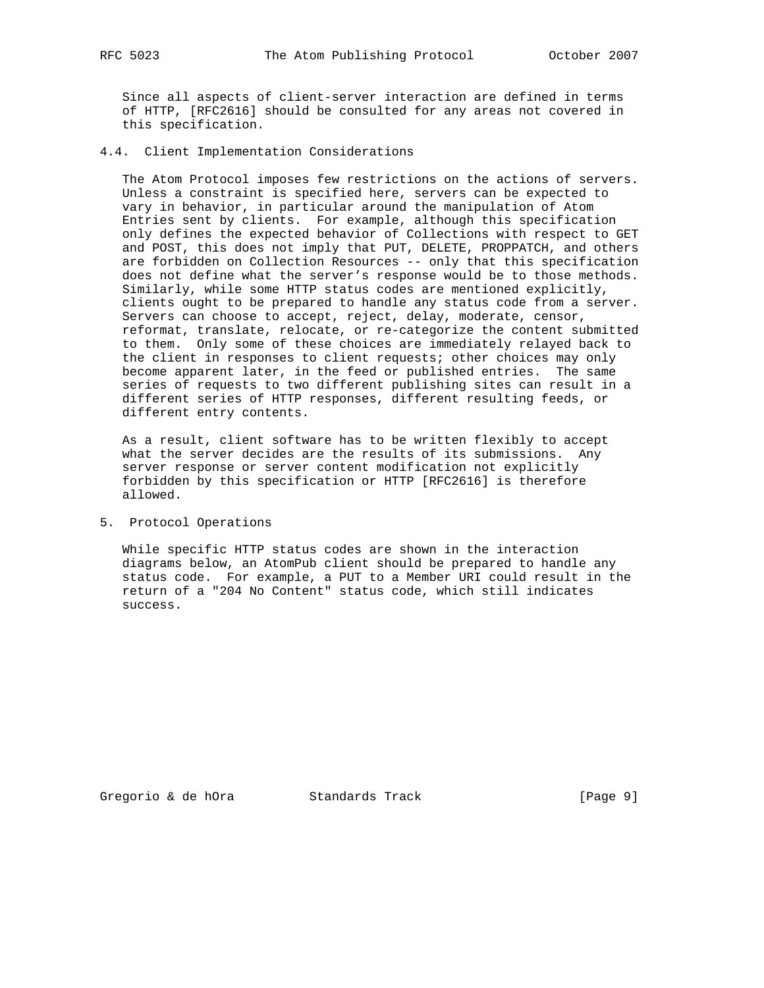Since all aspects of client-server interaction are defined in terms of HTTP, [RFC2616] should be consulted for any areas not covered in this specification.

4.4. Client Implementation Considerations

 The Atom Protocol imposes few restrictions on the actions of servers. Unless a constraint is specified here, servers can be expected to vary in behavior, in particular around the manipulation of Atom Entries sent by clients. For example, although this specification only defines the expected behavior of Collections with respect to GET and POST, this does not imply that PUT, DELETE, PROPPATCH, and others are forbidden on Collection Resources -- only that this specification does not define what the server's response would be to those methods. Similarly, while some HTTP status codes are mentioned explicitly, clients ought to be prepared to handle any status code from a server. Servers can choose to accept, reject, delay, moderate, censor, reformat, translate, relocate, or re-categorize the content submitted to them. Only some of these choices are immediately relayed back to the client in responses to client requests; other choices may only become apparent later, in the feed or published entries. The same series of requests to two different publishing sites can result in a different series of HTTP responses, different resulting feeds, or different entry contents.

 As a result, client software has to be written flexibly to accept what the server decides are the results of its submissions. Any server response or server content modification not explicitly forbidden by this specification or HTTP [RFC2616] is therefore allowed.

5. Protocol Operations

 While specific HTTP status codes are shown in the interaction diagrams below, an AtomPub client should be prepared to handle any status code. For example, a PUT to a Member URI could result in the return of a "204 No Content" status code, which still indicates success.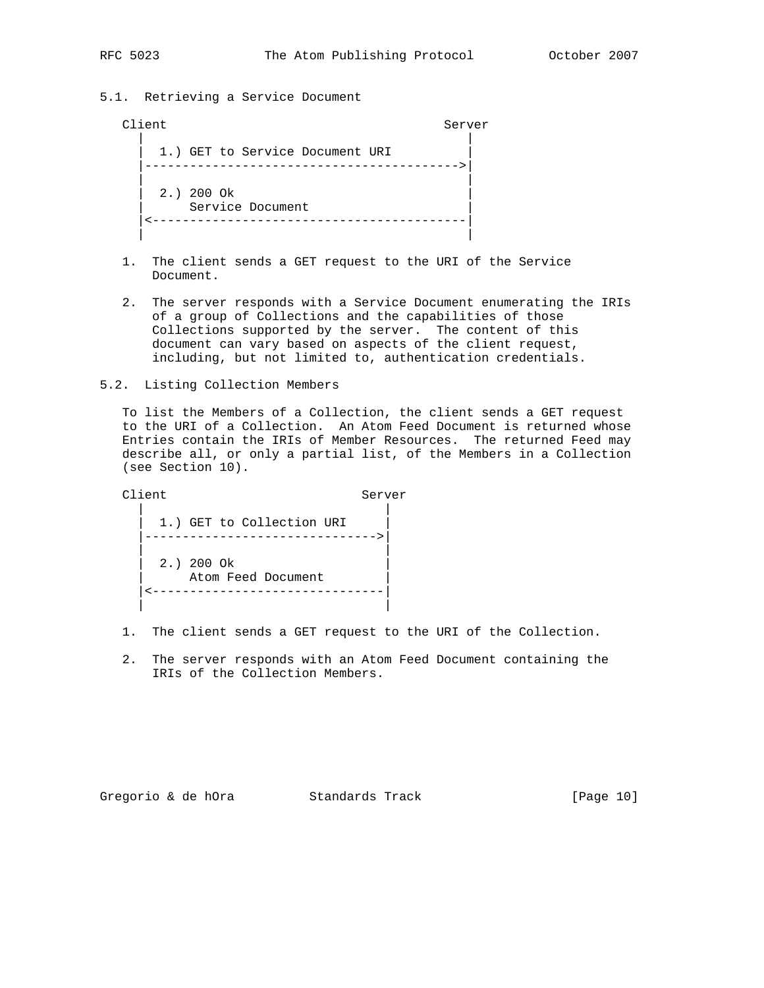## 5.1. Retrieving a Service Document

## Client Server

 | | 1.) GET to Service Document URI |------------------------------------------>| | | | 2.) 200 Ok | Service Document |<------------------------------------------| | |

- 1. The client sends a GET request to the URI of the Service Document.
- 2. The server responds with a Service Document enumerating the IRIs of a group of Collections and the capabilities of those Collections supported by the server. The content of this document can vary based on aspects of the client request, including, but not limited to, authentication credentials.
- 5.2. Listing Collection Members

 To list the Members of a Collection, the client sends a GET request to the URI of a Collection. An Atom Feed Document is returned whose Entries contain the IRIs of Member Resources. The returned Feed may describe all, or only a partial list, of the Members in a Collection (see Section 10).

Client Server | | 1.) GET to Collection URI |------------------------------->| | | | 2.) 200 Ok | Atom Feed Document |<-------------------------------| | |

- 1. The client sends a GET request to the URI of the Collection.
- 2. The server responds with an Atom Feed Document containing the IRIs of the Collection Members.

Gregorio & de hOra Standards Track [Page 10]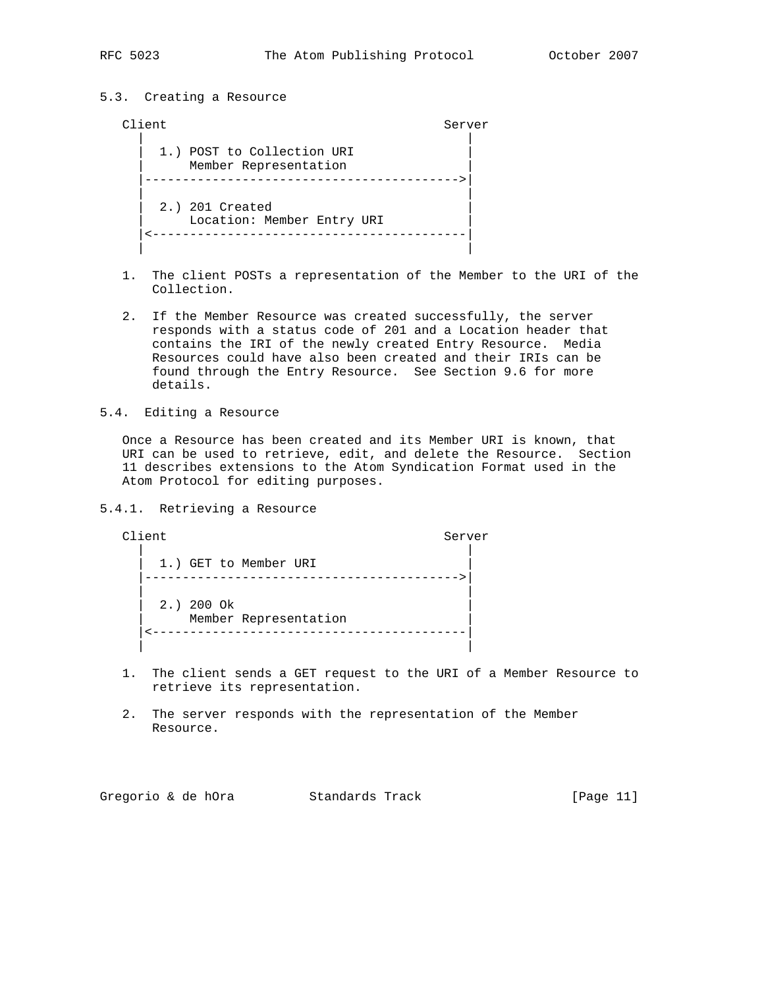## 5.3. Creating a Resource

## Client Server | | 1.) POST to Collection URI Member Representation |------------------------------------------>| | | 2.) 201 Created Location: Member Entry URI |<------------------------------------------| | |

- 1. The client POSTs a representation of the Member to the URI of the Collection.
- 2. If the Member Resource was created successfully, the server responds with a status code of 201 and a Location header that contains the IRI of the newly created Entry Resource. Media Resources could have also been created and their IRIs can be found through the Entry Resource. See Section 9.6 for more details.
- 5.4. Editing a Resource

 Once a Resource has been created and its Member URI is known, that URI can be used to retrieve, edit, and delete the Resource. Section 11 describes extensions to the Atom Syndication Format used in the Atom Protocol for editing purposes.

5.4.1. Retrieving a Resource

Client Server | | 1.) GET to Member URI |------------------------------------------>| | | 2.) 200 Ok Member Representation |<------------------------------------------| | |

- 1. The client sends a GET request to the URI of a Member Resource to retrieve its representation.
- 2. The server responds with the representation of the Member Resource.

Gregorio & de hOra Standards Track [Page 11]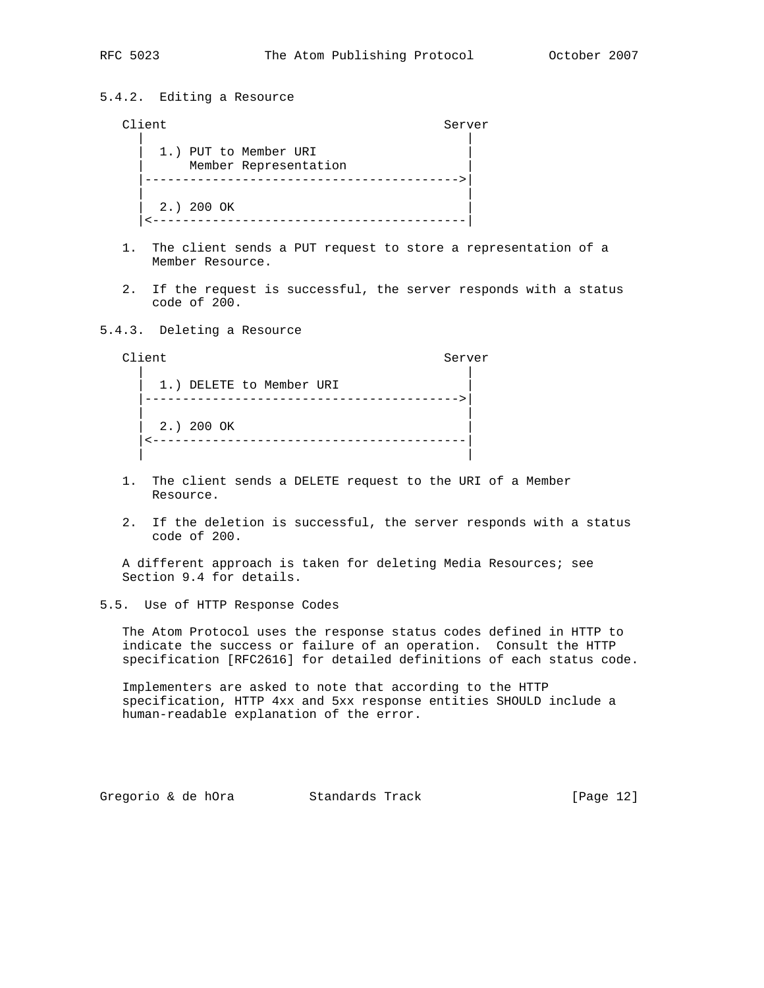## 5.4.2. Editing a Resource

## Client Server

 | | 1.) PUT to Member URI Member Representation |------------------------------------------>| | | 2.) 200 OK |<------------------------------------------|

- 1. The client sends a PUT request to store a representation of a Member Resource.
- 2. If the request is successful, the server responds with a status code of 200.

## 5.4.3. Deleting a Resource

Client Server | | 1.) DELETE to Member URI |------------------------------------------>| | | | 2.) 200 OK | |<------------------------------------------| | |

- 1. The client sends a DELETE request to the URI of a Member Resource.
- 2. If the deletion is successful, the server responds with a status code of 200.

 A different approach is taken for deleting Media Resources; see Section 9.4 for details.

5.5. Use of HTTP Response Codes

 The Atom Protocol uses the response status codes defined in HTTP to indicate the success or failure of an operation. Consult the HTTP specification [RFC2616] for detailed definitions of each status code.

 Implementers are asked to note that according to the HTTP specification, HTTP 4xx and 5xx response entities SHOULD include a human-readable explanation of the error.

Gregorio & de hOra Standards Track [Page 12]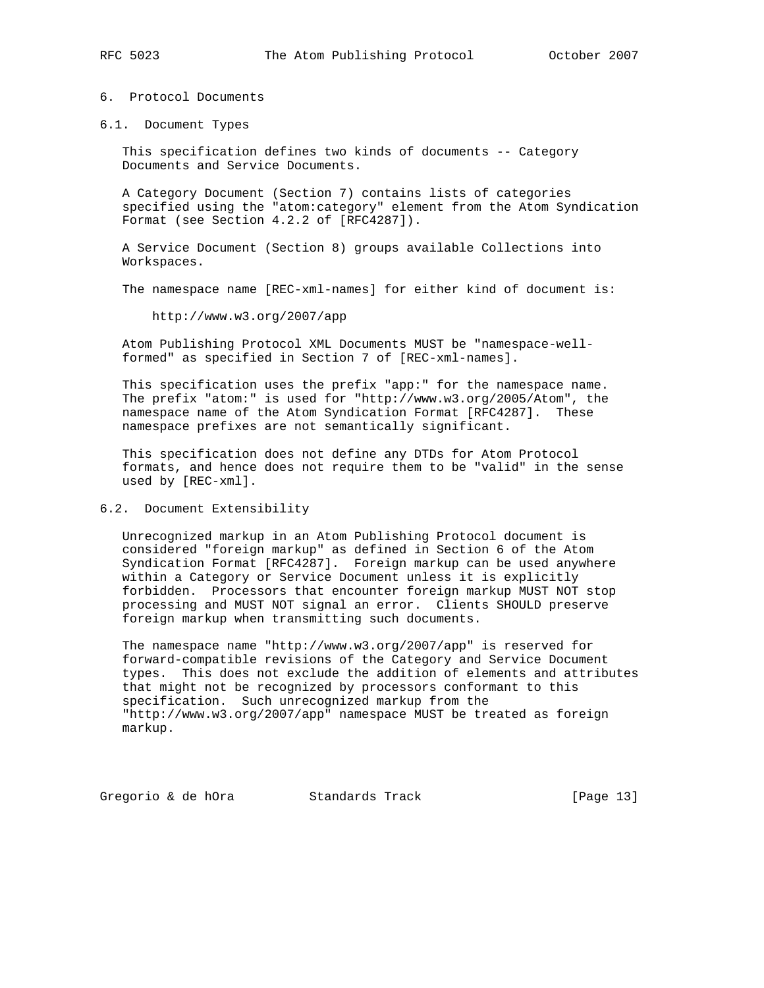## 6. Protocol Documents

6.1. Document Types

 This specification defines two kinds of documents -- Category Documents and Service Documents.

 A Category Document (Section 7) contains lists of categories specified using the "atom:category" element from the Atom Syndication Format (see Section 4.2.2 of [RFC4287]).

 A Service Document (Section 8) groups available Collections into Workspaces.

The namespace name [REC-xml-names] for either kind of document is:

http://www.w3.org/2007/app

 Atom Publishing Protocol XML Documents MUST be "namespace-well formed" as specified in Section 7 of [REC-xml-names].

 This specification uses the prefix "app:" for the namespace name. The prefix "atom:" is used for "http://www.w3.org/2005/Atom", the namespace name of the Atom Syndication Format [RFC4287]. These namespace prefixes are not semantically significant.

 This specification does not define any DTDs for Atom Protocol formats, and hence does not require them to be "valid" in the sense used by [REC-xml].

## 6.2. Document Extensibility

 Unrecognized markup in an Atom Publishing Protocol document is considered "foreign markup" as defined in Section 6 of the Atom Syndication Format [RFC4287]. Foreign markup can be used anywhere within a Category or Service Document unless it is explicitly forbidden. Processors that encounter foreign markup MUST NOT stop processing and MUST NOT signal an error. Clients SHOULD preserve foreign markup when transmitting such documents.

 The namespace name "http://www.w3.org/2007/app" is reserved for forward-compatible revisions of the Category and Service Document types. This does not exclude the addition of elements and attributes that might not be recognized by processors conformant to this specification. Such unrecognized markup from the "http://www.w3.org/2007/app" namespace MUST be treated as foreign markup.

Gregorio & de hOra Standards Track [Page 13]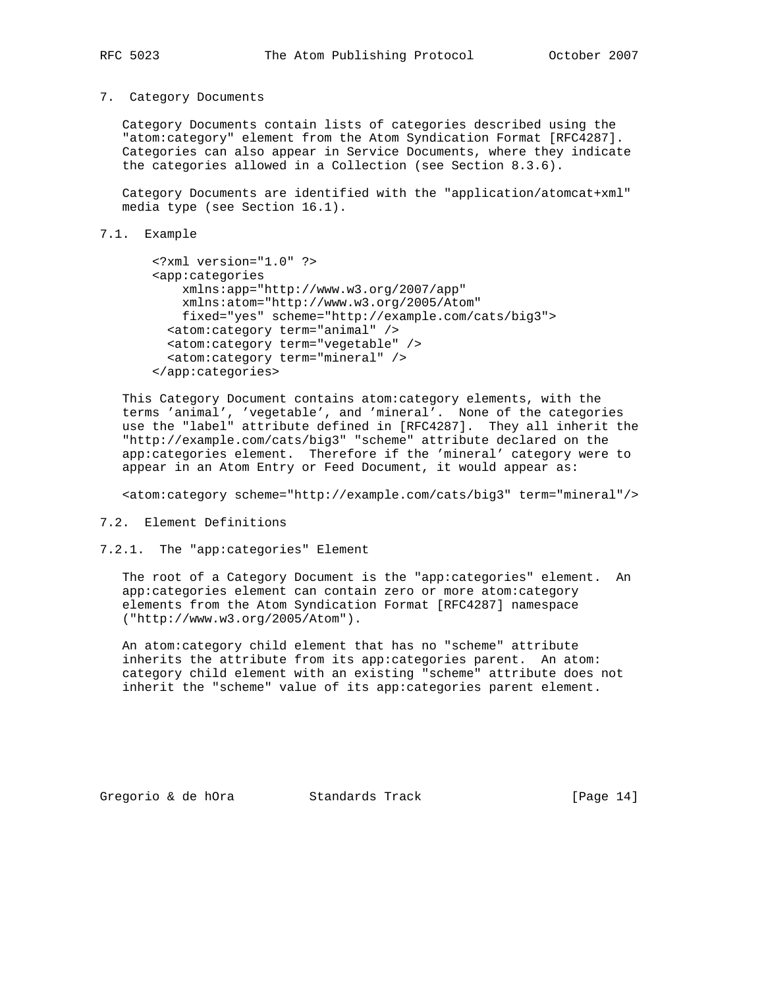#### 7. Category Documents

 Category Documents contain lists of categories described using the "atom:category" element from the Atom Syndication Format [RFC4287]. Categories can also appear in Service Documents, where they indicate the categories allowed in a Collection (see Section 8.3.6).

 Category Documents are identified with the "application/atomcat+xml" media type (see Section 16.1).

```
7.1. Example
```

```
 <?xml version="1.0" ?>
 <app:categories
     xmlns:app="http://www.w3.org/2007/app"
     xmlns:atom="http://www.w3.org/2005/Atom"
     fixed="yes" scheme="http://example.com/cats/big3">
   <atom:category term="animal" />
   <atom:category term="vegetable" />
   <atom:category term="mineral" />
 </app:categories>
```
 This Category Document contains atom:category elements, with the terms 'animal', 'vegetable', and 'mineral'. None of the categories use the "label" attribute defined in [RFC4287]. They all inherit the "http://example.com/cats/big3" "scheme" attribute declared on the app:categories element. Therefore if the 'mineral' category were to appear in an Atom Entry or Feed Document, it would appear as:

<atom:category scheme="http://example.com/cats/big3" term="mineral"/>

7.2. Element Definitions

7.2.1. The "app:categories" Element

 The root of a Category Document is the "app:categories" element. An app:categories element can contain zero or more atom:category elements from the Atom Syndication Format [RFC4287] namespace ("http://www.w3.org/2005/Atom").

 An atom:category child element that has no "scheme" attribute inherits the attribute from its app:categories parent. An atom: category child element with an existing "scheme" attribute does not inherit the "scheme" value of its app:categories parent element.

Gregorio & de hOra Standards Track [Page 14]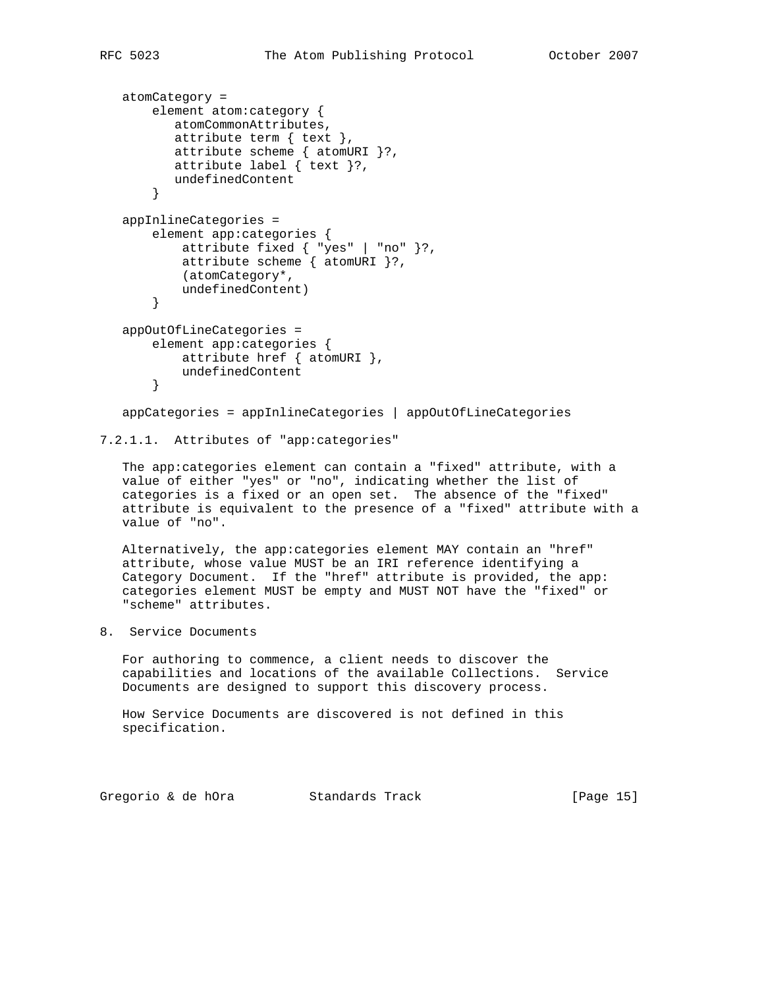```
 atomCategory =
     element atom:category {
        atomCommonAttributes,
        attribute term { text },
        attribute scheme { atomURI }?,
        attribute label { text }?,
        undefinedContent
     }
 appInlineCategories =
     element app:categories {
         attribute fixed { "yes" | "no" }?,
        attribute scheme { _{\text{atom}} atomURI }?,
         (atomCategory*,
         undefinedContent)
     }
 appOutOfLineCategories =
     element app:categories {
        attribute href { atomURI },
         undefinedContent
     }
```
appCategories = appInlineCategories | appOutOfLineCategories

```
7.2.1.1. Attributes of "app:categories"
```
 The app:categories element can contain a "fixed" attribute, with a value of either "yes" or "no", indicating whether the list of categories is a fixed or an open set. The absence of the "fixed" attribute is equivalent to the presence of a "fixed" attribute with a value of "no".

 Alternatively, the app:categories element MAY contain an "href" attribute, whose value MUST be an IRI reference identifying a Category Document. If the "href" attribute is provided, the app: categories element MUST be empty and MUST NOT have the "fixed" or "scheme" attributes.

8. Service Documents

 For authoring to commence, a client needs to discover the capabilities and locations of the available Collections. Service Documents are designed to support this discovery process.

 How Service Documents are discovered is not defined in this specification.

Gregorio & de hOra Standards Track [Page 15]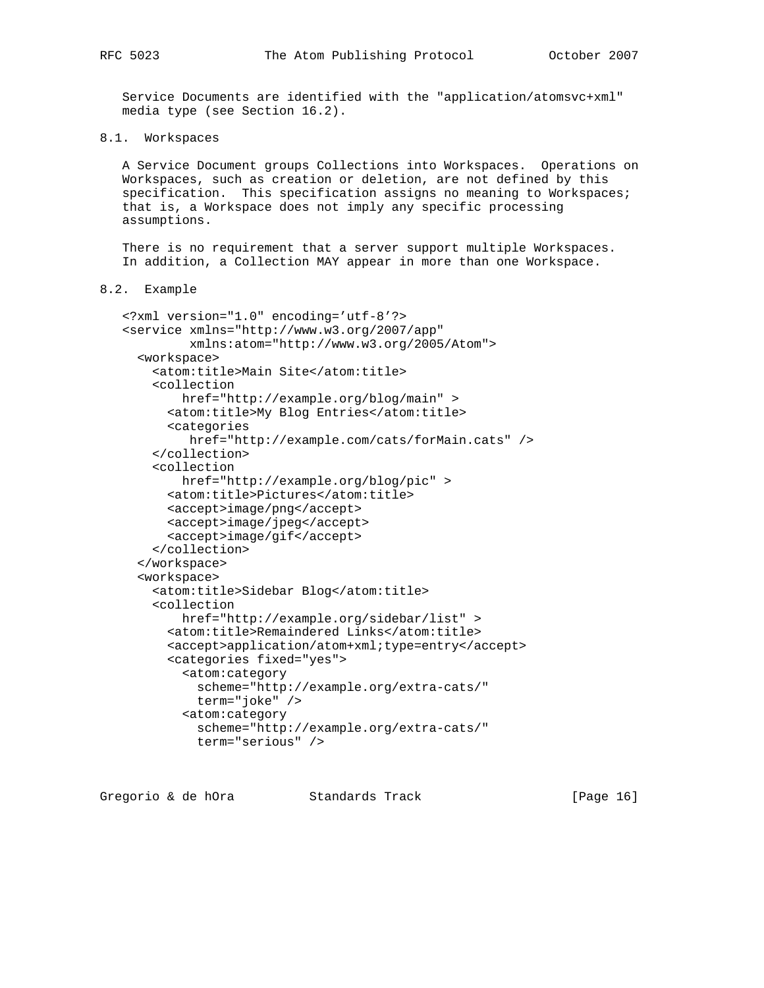Service Documents are identified with the "application/atomsvc+xml" media type (see Section 16.2).

8.1. Workspaces

 A Service Document groups Collections into Workspaces. Operations on Workspaces, such as creation or deletion, are not defined by this specification. This specification assigns no meaning to Workspaces; that is, a Workspace does not imply any specific processing assumptions.

 There is no requirement that a server support multiple Workspaces. In addition, a Collection MAY appear in more than one Workspace.

```
8.2. Example
```

```
 <?xml version="1.0" encoding='utf-8'?>
 <service xmlns="http://www.w3.org/2007/app"
          xmlns:atom="http://www.w3.org/2005/Atom">
   <workspace>
    <atom:title>Main Site</atom:title>
     <collection
         href="http://example.org/blog/main" >
       <atom:title>My Blog Entries</atom:title>
       <categories
          href="http://example.com/cats/forMain.cats" />
     </collection>
     <collection
         href="http://example.org/blog/pic" >
       <atom:title>Pictures</atom:title>
      <accept>image/png</accept>
       <accept>image/jpeg</accept>
       <accept>image/gif</accept>
     </collection>
   </workspace>
   <workspace>
     <atom:title>Sidebar Blog</atom:title>
     <collection
         href="http://example.org/sidebar/list" >
       <atom:title>Remaindered Links</atom:title>
       <accept>application/atom+xml;type=entry</accept>
       <categories fixed="yes">
         <atom:category
           scheme="http://example.org/extra-cats/"
           term="joke" />
         <atom:category
           scheme="http://example.org/extra-cats/"
           term="serious" />
```
Gregorio & de hOra Standards Track [Page 16]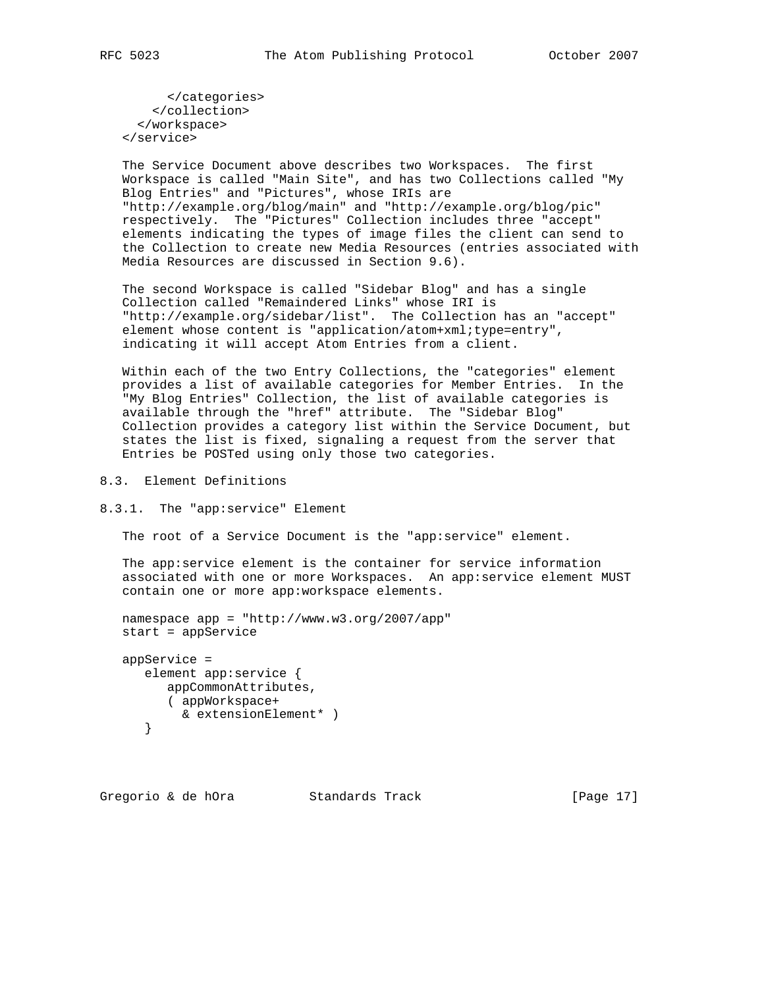</categories> </collection> </workspace> </service>

 The Service Document above describes two Workspaces. The first Workspace is called "Main Site", and has two Collections called "My Blog Entries" and "Pictures", whose IRIs are "http://example.org/blog/main" and "http://example.org/blog/pic" respectively. The "Pictures" Collection includes three "accept" elements indicating the types of image files the client can send to the Collection to create new Media Resources (entries associated with Media Resources are discussed in Section 9.6).

 The second Workspace is called "Sidebar Blog" and has a single Collection called "Remaindered Links" whose IRI is "http://example.org/sidebar/list". The Collection has an "accept" element whose content is "application/atom+xml;type=entry", indicating it will accept Atom Entries from a client.

 Within each of the two Entry Collections, the "categories" element provides a list of available categories for Member Entries. In the "My Blog Entries" Collection, the list of available categories is available through the "href" attribute. The "Sidebar Blog" Collection provides a category list within the Service Document, but states the list is fixed, signaling a request from the server that Entries be POSTed using only those two categories.

8.3. Element Definitions

8.3.1. The "app:service" Element

The root of a Service Document is the "app:service" element.

 The app:service element is the container for service information associated with one or more Workspaces. An app:service element MUST contain one or more app:workspace elements.

```
 namespace app = "http://www.w3.org/2007/app"
 start = appService
```

```
 appService =
    element app:service {
      appCommonAttributes,
      ( appWorkspace+
        & extensionElement* )
    }
```
Gregorio & de hOra Standards Track [Page 17]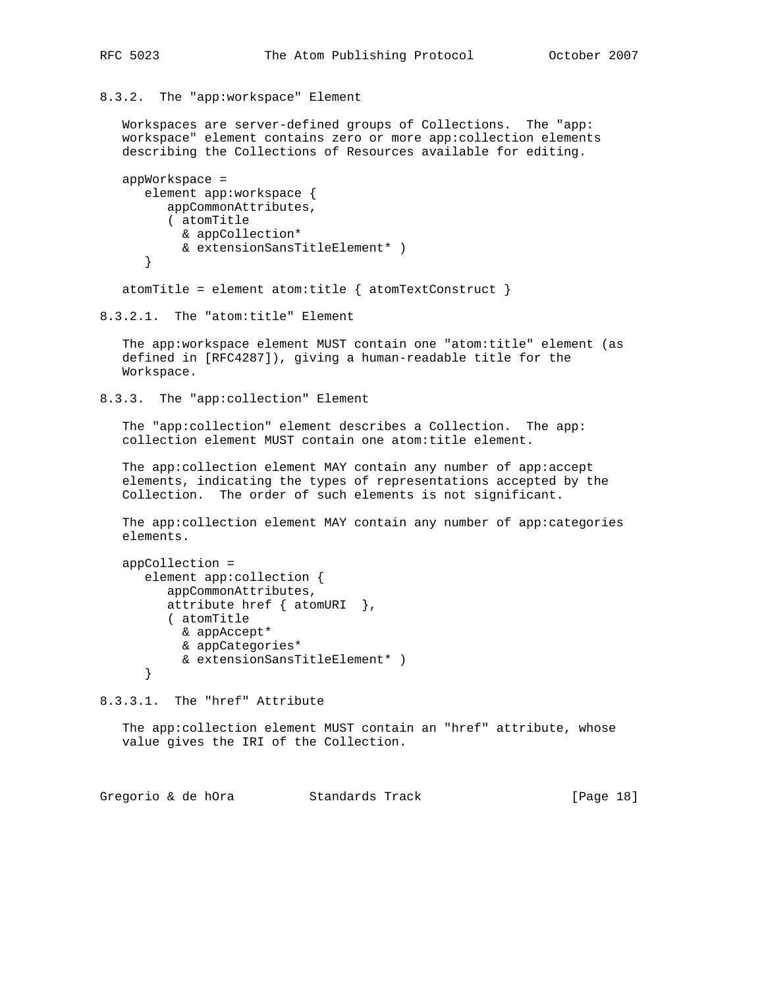8.3.2. The "app:workspace" Element

 Workspaces are server-defined groups of Collections. The "app: workspace" element contains zero or more app:collection elements describing the Collections of Resources available for editing.

```
 appWorkspace =
    element app:workspace {
       appCommonAttributes,
       ( atomTitle
         & appCollection*
         & extensionSansTitleElement* )
    }
```
atomTitle = element atom:title {  $atomic$  atomTextConstruct }

```
8.3.2.1. The "atom:title" Element
```
 The app:workspace element MUST contain one "atom:title" element (as defined in [RFC4287]), giving a human-readable title for the Workspace.

```
8.3.3. The "app:collection" Element
```
The "app:collection" element describes a Collection. The app: collection element MUST contain one atom:title element.

 The app:collection element MAY contain any number of app:accept elements, indicating the types of representations accepted by the Collection. The order of such elements is not significant.

 The app:collection element MAY contain any number of app:categories elements.

```
 appCollection =
    element app:collection {
       appCommonAttributes,
      attribute href \{ atomURI \},
       ( atomTitle
         & appAccept*
         & appCategories*
         & extensionSansTitleElement* )
    }
```
8.3.3.1. The "href" Attribute

 The app:collection element MUST contain an "href" attribute, whose value gives the IRI of the Collection.

Gregorio & de hOra Standards Track [Page 18]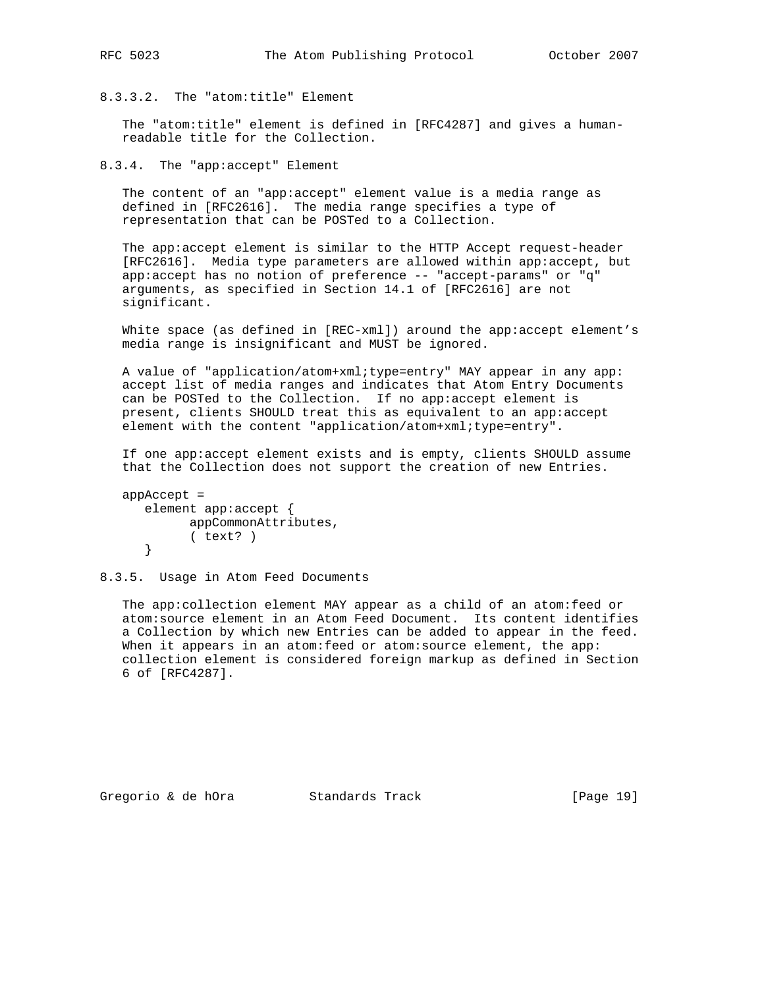## 8.3.3.2. The "atom:title" Element

 The "atom:title" element is defined in [RFC4287] and gives a human readable title for the Collection.

8.3.4. The "app:accept" Element

 The content of an "app:accept" element value is a media range as defined in [RFC2616]. The media range specifies a type of representation that can be POSTed to a Collection.

 The app:accept element is similar to the HTTP Accept request-header [RFC2616]. Media type parameters are allowed within app:accept, but app:accept has no notion of preference -- "accept-params" or "q" arguments, as specified in Section 14.1 of [RFC2616] are not significant.

 White space (as defined in [REC-xml]) around the app:accept element's media range is insignificant and MUST be ignored.

 A value of "application/atom+xml;type=entry" MAY appear in any app: accept list of media ranges and indicates that Atom Entry Documents can be POSTed to the Collection. If no app:accept element is present, clients SHOULD treat this as equivalent to an app:accept element with the content "application/atom+xml;type=entry".

 If one app:accept element exists and is empty, clients SHOULD assume that the Collection does not support the creation of new Entries.

```
 appAccept =
    element app:accept {
         appCommonAttributes,
          ( text? )
    }
```
8.3.5. Usage in Atom Feed Documents

 The app:collection element MAY appear as a child of an atom:feed or atom:source element in an Atom Feed Document. Its content identifies a Collection by which new Entries can be added to appear in the feed. When it appears in an atom: feed or atom: source element, the app: collection element is considered foreign markup as defined in Section 6 of [RFC4287].

Gregorio & de hOra Standards Track [Page 19]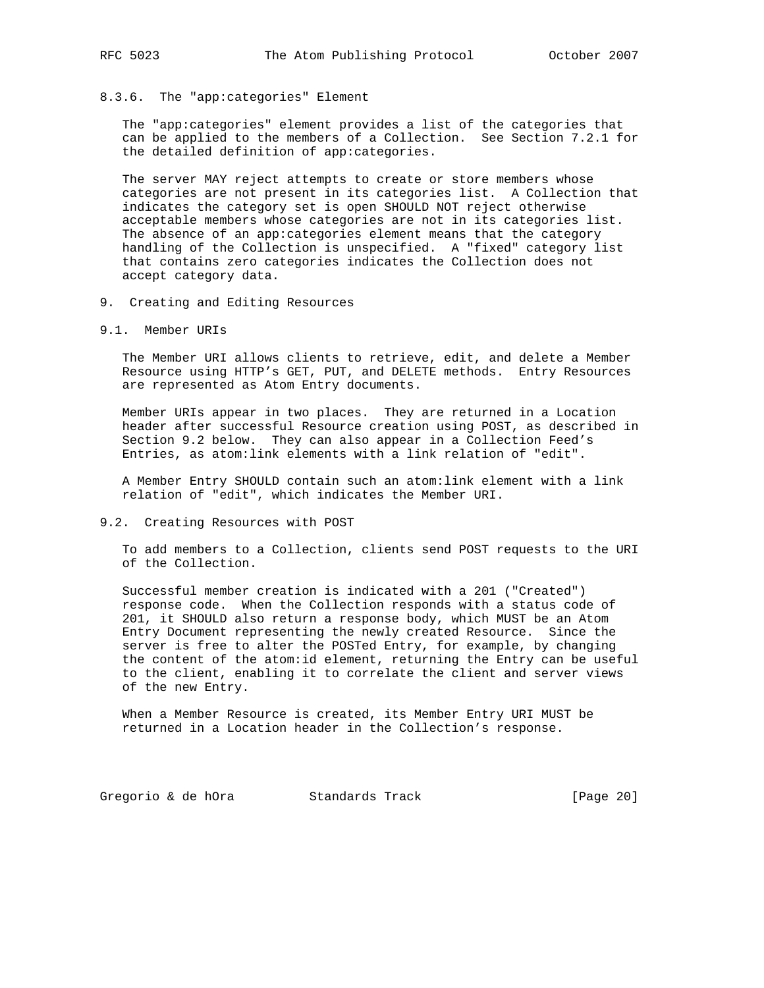#### 8.3.6. The "app:categories" Element

 The "app:categories" element provides a list of the categories that can be applied to the members of a Collection. See Section 7.2.1 for the detailed definition of app:categories.

 The server MAY reject attempts to create or store members whose categories are not present in its categories list. A Collection that indicates the category set is open SHOULD NOT reject otherwise acceptable members whose categories are not in its categories list. The absence of an app:categories element means that the category handling of the Collection is unspecified. A "fixed" category list that contains zero categories indicates the Collection does not accept category data.

- 9. Creating and Editing Resources
- 9.1. Member URIs

 The Member URI allows clients to retrieve, edit, and delete a Member Resource using HTTP's GET, PUT, and DELETE methods. Entry Resources are represented as Atom Entry documents.

 Member URIs appear in two places. They are returned in a Location header after successful Resource creation using POST, as described in Section 9.2 below. They can also appear in a Collection Feed's Entries, as atom:link elements with a link relation of "edit".

 A Member Entry SHOULD contain such an atom:link element with a link relation of "edit", which indicates the Member URI.

9.2. Creating Resources with POST

 To add members to a Collection, clients send POST requests to the URI of the Collection.

 Successful member creation is indicated with a 201 ("Created") response code. When the Collection responds with a status code of 201, it SHOULD also return a response body, which MUST be an Atom Entry Document representing the newly created Resource. Since the server is free to alter the POSTed Entry, for example, by changing the content of the atom:id element, returning the Entry can be useful to the client, enabling it to correlate the client and server views of the new Entry.

 When a Member Resource is created, its Member Entry URI MUST be returned in a Location header in the Collection's response.

Gregorio & de hOra Standards Track [Page 20]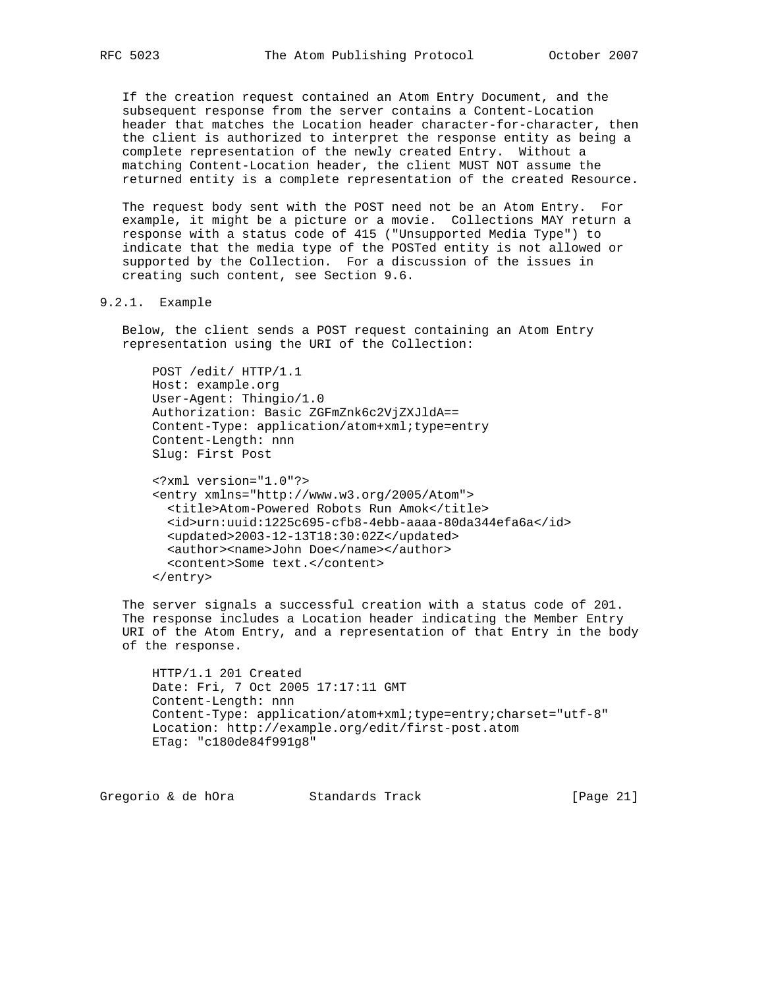If the creation request contained an Atom Entry Document, and the subsequent response from the server contains a Content-Location header that matches the Location header character-for-character, then the client is authorized to interpret the response entity as being a complete representation of the newly created Entry. Without a matching Content-Location header, the client MUST NOT assume the returned entity is a complete representation of the created Resource.

 The request body sent with the POST need not be an Atom Entry. For example, it might be a picture or a movie. Collections MAY return a response with a status code of 415 ("Unsupported Media Type") to indicate that the media type of the POSTed entity is not allowed or supported by the Collection. For a discussion of the issues in creating such content, see Section 9.6.

#### 9.2.1. Example

 Below, the client sends a POST request containing an Atom Entry representation using the URI of the Collection:

```
 POST /edit/ HTTP/1.1
 Host: example.org
 User-Agent: Thingio/1.0
 Authorization: Basic ZGFmZnk6c2VjZXJldA==
 Content-Type: application/atom+xml;type=entry
 Content-Length: nnn
 Slug: First Post
```

```
 <?xml version="1.0"?>
 <entry xmlns="http://www.w3.org/2005/Atom">
 <title>Atom-Powered Robots Run Amok</title>
  <id>urn:uuid:1225c695-cfb8-4ebb-aaaa-80da344efa6a</id>
  <updated>2003-12-13T18:30:02Z</updated>
  <author><name>John Doe</name></author>
   <content>Some text.</content>
 </entry>
```
 The server signals a successful creation with a status code of 201. The response includes a Location header indicating the Member Entry URI of the Atom Entry, and a representation of that Entry in the body of the response.

```
 HTTP/1.1 201 Created
 Date: Fri, 7 Oct 2005 17:17:11 GMT
 Content-Length: nnn
 Content-Type: application/atom+xml;type=entry;charset="utf-8"
 Location: http://example.org/edit/first-post.atom
 ETag: "c180de84f991g8"
```
Gregorio & de hOra Standards Track [Page 21]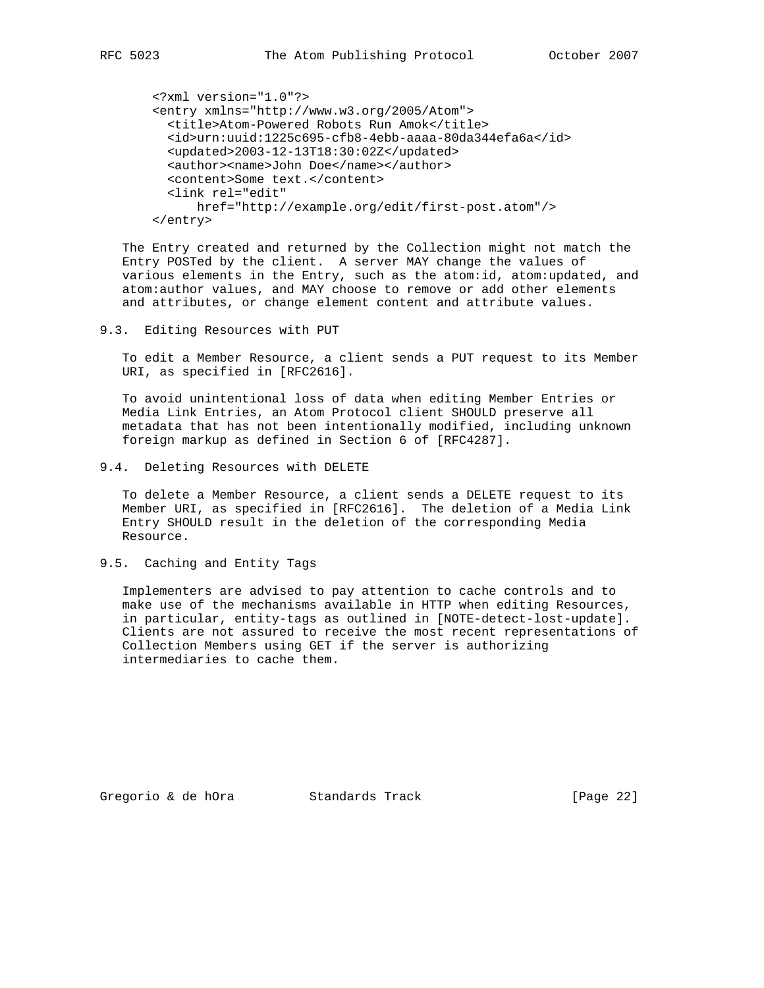```
 <?xml version="1.0"?>
 <entry xmlns="http://www.w3.org/2005/Atom">
   <title>Atom-Powered Robots Run Amok</title>
   <id>urn:uuid:1225c695-cfb8-4ebb-aaaa-80da344efa6a</id>
  <updated>2003-12-13T18:30:02Z</updated>
  <author><name>John Doe</name></author>
  <content>Some text.</content>
  <link rel="edit"
       href="http://example.org/edit/first-post.atom"/>
 </entry>
```
 The Entry created and returned by the Collection might not match the Entry POSTed by the client. A server MAY change the values of various elements in the Entry, such as the atom:id, atom:updated, and atom:author values, and MAY choose to remove or add other elements and attributes, or change element content and attribute values.

9.3. Editing Resources with PUT

 To edit a Member Resource, a client sends a PUT request to its Member URI, as specified in [RFC2616].

 To avoid unintentional loss of data when editing Member Entries or Media Link Entries, an Atom Protocol client SHOULD preserve all metadata that has not been intentionally modified, including unknown foreign markup as defined in Section 6 of [RFC4287].

9.4. Deleting Resources with DELETE

 To delete a Member Resource, a client sends a DELETE request to its Member URI, as specified in [RFC2616]. The deletion of a Media Link Entry SHOULD result in the deletion of the corresponding Media Resource.

9.5. Caching and Entity Tags

 Implementers are advised to pay attention to cache controls and to make use of the mechanisms available in HTTP when editing Resources, in particular, entity-tags as outlined in [NOTE-detect-lost-update]. Clients are not assured to receive the most recent representations of Collection Members using GET if the server is authorizing intermediaries to cache them.

Gregorio & de hOra Standards Track [Page 22]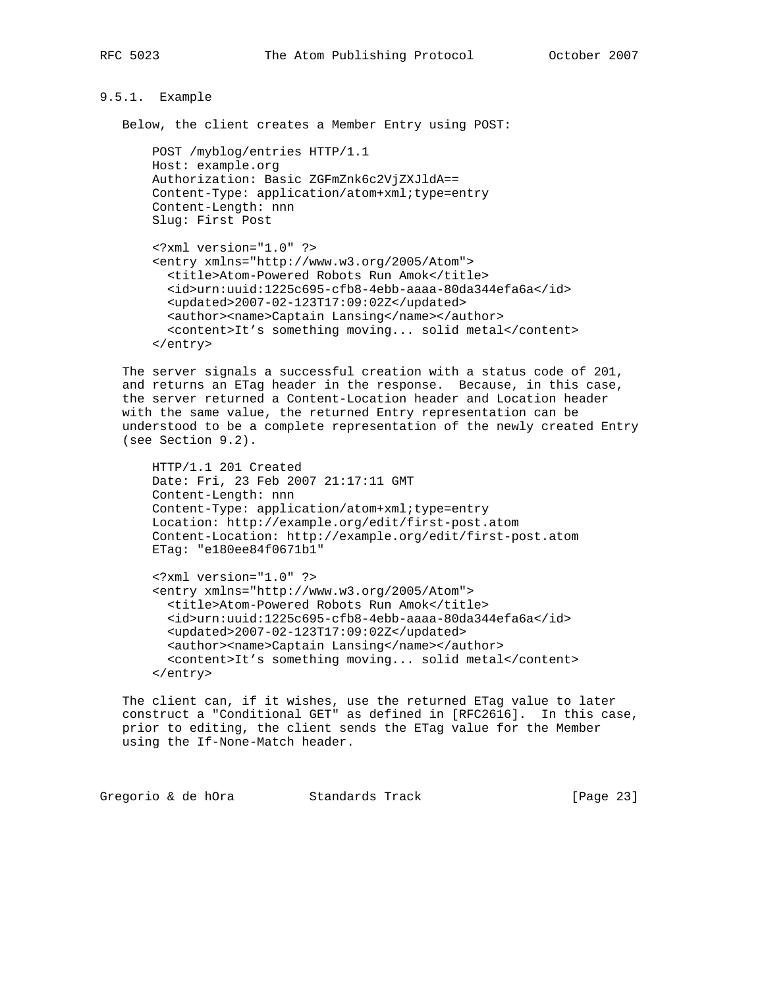## 9.5.1. Example

Below, the client creates a Member Entry using POST:

```
 POST /myblog/entries HTTP/1.1
 Host: example.org
 Authorization: Basic ZGFmZnk6c2VjZXJldA==
 Content-Type: application/atom+xml;type=entry
 Content-Length: nnn
 Slug: First Post
```

```
 <?xml version="1.0" ?>
 <entry xmlns="http://www.w3.org/2005/Atom">
   <title>Atom-Powered Robots Run Amok</title>
   <id>urn:uuid:1225c695-cfb8-4ebb-aaaa-80da344efa6a</id>
   <updated>2007-02-123T17:09:02Z</updated>
   <author><name>Captain Lansing</name></author>
   <content>It's something moving... solid metal</content>
 </entry>
```
 The server signals a successful creation with a status code of 201, and returns an ETag header in the response. Because, in this case, the server returned a Content-Location header and Location header with the same value, the returned Entry representation can be understood to be a complete representation of the newly created Entry (see Section 9.2).

```
 HTTP/1.1 201 Created
 Date: Fri, 23 Feb 2007 21:17:11 GMT
 Content-Length: nnn
 Content-Type: application/atom+xml;type=entry
 Location: http://example.org/edit/first-post.atom
 Content-Location: http://example.org/edit/first-post.atom
 ETag: "e180ee84f0671b1"
```

```
 <?xml version="1.0" ?>
 <entry xmlns="http://www.w3.org/2005/Atom">
  <title>Atom-Powered Robots Run Amok</title>
   <id>urn:uuid:1225c695-cfb8-4ebb-aaaa-80da344efa6a</id>
  <updated>2007-02-123T17:09:02Z</updated>
  <author><name>Captain Lansing</name></author>
  <content>It's something moving... solid metal</content>
 </entry>
```
 The client can, if it wishes, use the returned ETag value to later construct a "Conditional GET" as defined in [RFC2616]. In this case, prior to editing, the client sends the ETag value for the Member using the If-None-Match header.

Gregorio & de hOra Standards Track [Page 23]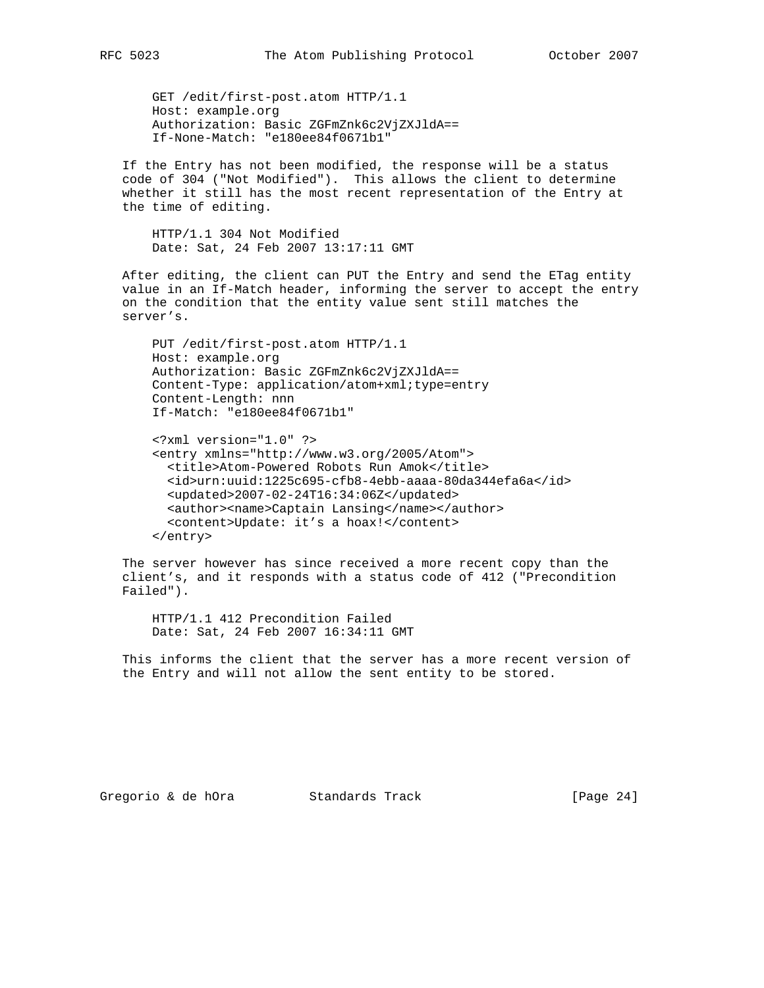GET /edit/first-post.atom HTTP/1.1 Host: example.org Authorization: Basic ZGFmZnk6c2VjZXJldA== If-None-Match: "e180ee84f0671b1"

 If the Entry has not been modified, the response will be a status code of 304 ("Not Modified"). This allows the client to determine whether it still has the most recent representation of the Entry at the time of editing.

 HTTP/1.1 304 Not Modified Date: Sat, 24 Feb 2007 13:17:11 GMT

 After editing, the client can PUT the Entry and send the ETag entity value in an If-Match header, informing the server to accept the entry on the condition that the entity value sent still matches the server's.

 PUT /edit/first-post.atom HTTP/1.1 Host: example.org Authorization: Basic ZGFmZnk6c2VjZXJldA== Content-Type: application/atom+xml;type=entry Content-Length: nnn If-Match: "e180ee84f0671b1"

 <?xml version="1.0" ?> <entry xmlns="http://www.w3.org/2005/Atom"> <title>Atom-Powered Robots Run Amok</title> <id>urn:uuid:1225c695-cfb8-4ebb-aaaa-80da344efa6a</id> <updated>2007-02-24T16:34:06Z</updated> <author><name>Captain Lansing</name></author> <content>Update: it's a hoax!</content> </entry>

 The server however has since received a more recent copy than the client's, and it responds with a status code of 412 ("Precondition Failed").

 HTTP/1.1 412 Precondition Failed Date: Sat, 24 Feb 2007 16:34:11 GMT

 This informs the client that the server has a more recent version of the Entry and will not allow the sent entity to be stored.

Gregorio & de hOra Standards Track [Page 24]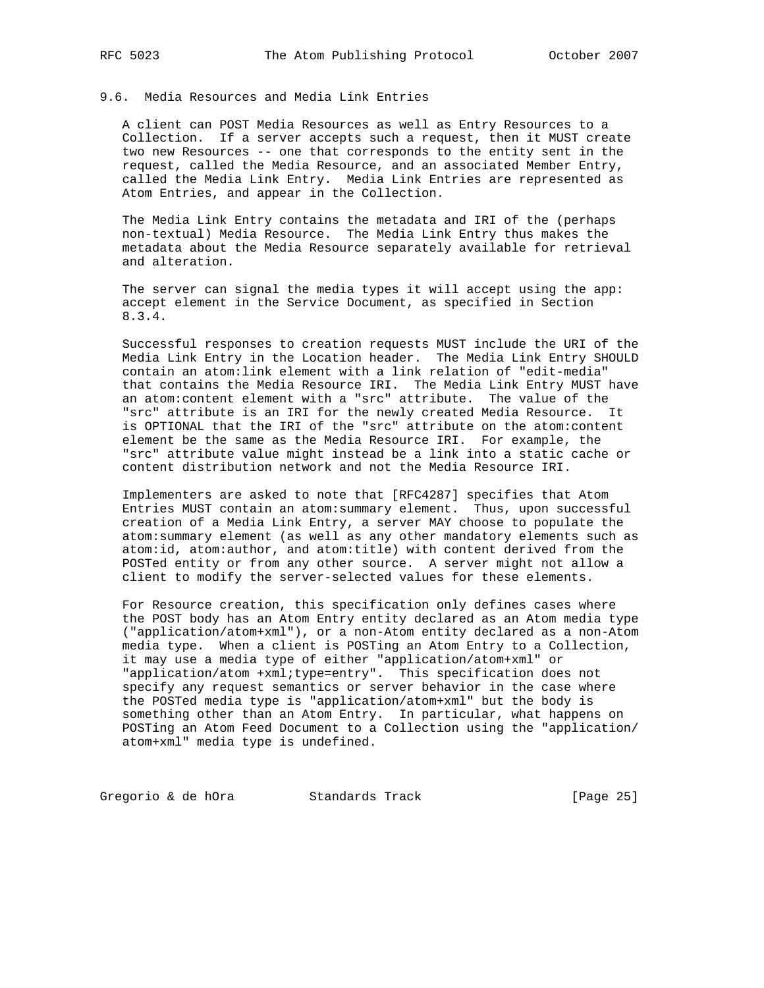#### 9.6. Media Resources and Media Link Entries

 A client can POST Media Resources as well as Entry Resources to a Collection. If a server accepts such a request, then it MUST create two new Resources -- one that corresponds to the entity sent in the request, called the Media Resource, and an associated Member Entry, called the Media Link Entry. Media Link Entries are represented as Atom Entries, and appear in the Collection.

 The Media Link Entry contains the metadata and IRI of the (perhaps non-textual) Media Resource. The Media Link Entry thus makes the metadata about the Media Resource separately available for retrieval and alteration.

 The server can signal the media types it will accept using the app: accept element in the Service Document, as specified in Section 8.3.4.

 Successful responses to creation requests MUST include the URI of the Media Link Entry in the Location header. The Media Link Entry SHOULD contain an atom:link element with a link relation of "edit-media" that contains the Media Resource IRI. The Media Link Entry MUST have an atom:content element with a "src" attribute. The value of the "src" attribute is an IRI for the newly created Media Resource. It is OPTIONAL that the IRI of the "src" attribute on the atom:content element be the same as the Media Resource IRI. For example, the "src" attribute value might instead be a link into a static cache or content distribution network and not the Media Resource IRI.

 Implementers are asked to note that [RFC4287] specifies that Atom Entries MUST contain an atom:summary element. Thus, upon successful creation of a Media Link Entry, a server MAY choose to populate the atom:summary element (as well as any other mandatory elements such as atom:id, atom:author, and atom:title) with content derived from the POSTed entity or from any other source. A server might not allow a client to modify the server-selected values for these elements.

 For Resource creation, this specification only defines cases where the POST body has an Atom Entry entity declared as an Atom media type ("application/atom+xml"), or a non-Atom entity declared as a non-Atom media type. When a client is POSTing an Atom Entry to a Collection, it may use a media type of either "application/atom+xml" or "application/atom +xml;type=entry". This specification does not specify any request semantics or server behavior in the case where the POSTed media type is "application/atom+xml" but the body is something other than an Atom Entry. In particular, what happens on POSTing an Atom Feed Document to a Collection using the "application/ atom+xml" media type is undefined.

Gregorio & de hOra Standards Track [Page 25]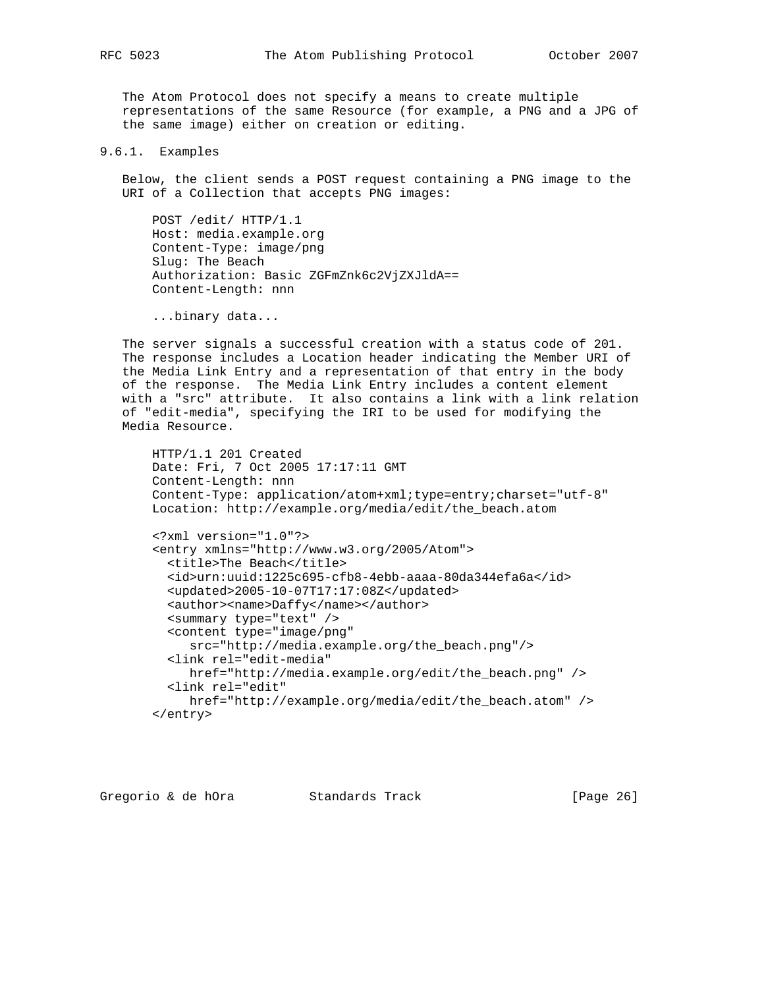The Atom Protocol does not specify a means to create multiple representations of the same Resource (for example, a PNG and a JPG of the same image) either on creation or editing.

9.6.1. Examples

 Below, the client sends a POST request containing a PNG image to the URI of a Collection that accepts PNG images:

 POST /edit/ HTTP/1.1 Host: media.example.org Content-Type: image/png Slug: The Beach Authorization: Basic ZGFmZnk6c2VjZXJldA== Content-Length: nnn

...binary data...

 The server signals a successful creation with a status code of 201. The response includes a Location header indicating the Member URI of the Media Link Entry and a representation of that entry in the body of the response. The Media Link Entry includes a content element with a "src" attribute. It also contains a link with a link relation of "edit-media", specifying the IRI to be used for modifying the Media Resource.

```
 HTTP/1.1 201 Created
 Date: Fri, 7 Oct 2005 17:17:11 GMT
 Content-Length: nnn
 Content-Type: application/atom+xml;type=entry;charset="utf-8"
 Location: http://example.org/media/edit/the_beach.atom
 <?xml version="1.0"?>
 <entry xmlns="http://www.w3.org/2005/Atom">
  <title>The Beach</title>
   <id>urn:uuid:1225c695-cfb8-4ebb-aaaa-80da344efa6a</id>
   <updated>2005-10-07T17:17:08Z</updated>
   <author><name>Daffy</name></author>
   <summary type="text" />
   <content type="image/png"
      src="http://media.example.org/the_beach.png"/>
   <link rel="edit-media"
      href="http://media.example.org/edit/the_beach.png" />
   <link rel="edit"
     href="http://example.org/media/edit/the_beach.atom" />
 </entry>
```
Gregorio & de hOra Standards Track [Page 26]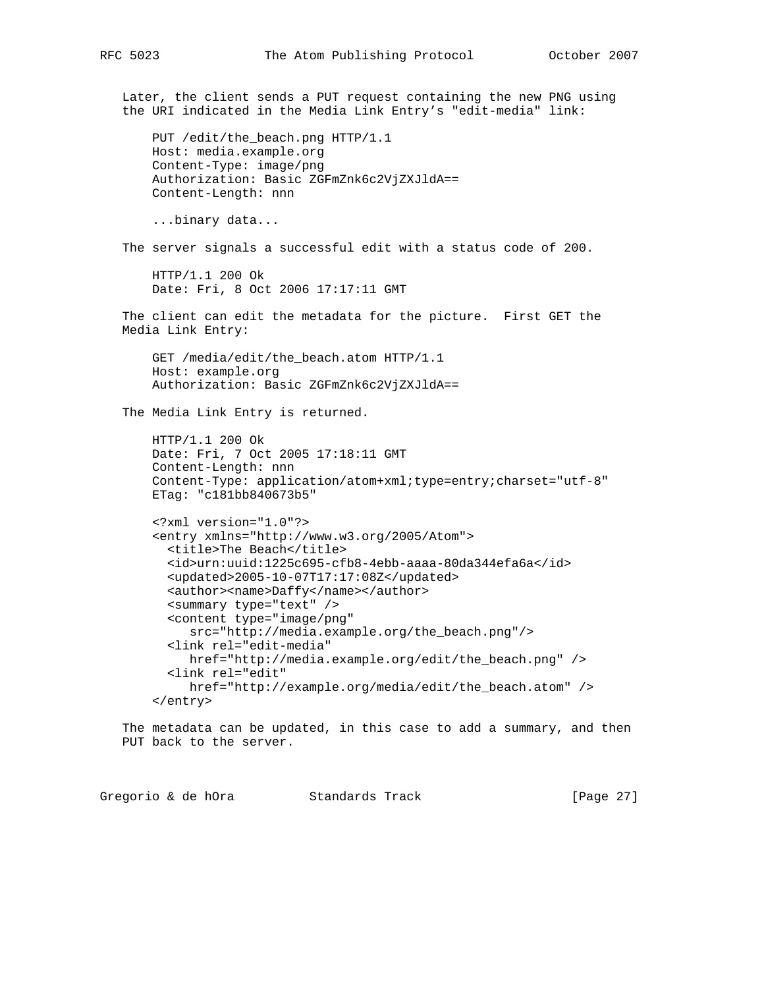Later, the client sends a PUT request containing the new PNG using the URI indicated in the Media Link Entry's "edit-media" link: PUT /edit/the\_beach.png HTTP/1.1 Host: media.example.org Content-Type: image/png Authorization: Basic ZGFmZnk6c2VjZXJldA== Content-Length: nnn ...binary data... The server signals a successful edit with a status code of 200. HTTP/1.1 200 Ok Date: Fri, 8 Oct 2006 17:17:11 GMT The client can edit the metadata for the picture. First GET the Media Link Entry: GET /media/edit/the\_beach.atom HTTP/1.1 Host: example.org Authorization: Basic ZGFmZnk6c2VjZXJldA== The Media Link Entry is returned. HTTP/1.1 200 Ok Date: Fri, 7 Oct 2005 17:18:11 GMT Content-Length: nnn Content-Type: application/atom+xml;type=entry;charset="utf-8" ETag: "c181bb840673b5" <?xml version="1.0"?> <entry xmlns="http://www.w3.org/2005/Atom"> <title>The Beach</title> <id>urn:uuid:1225c695-cfb8-4ebb-aaaa-80da344efa6a</id> <updated>2005-10-07T17:17:08Z</updated> <author><name>Daffy</name></author> <summary type="text" /> <content type="image/png" src="http://media.example.org/the\_beach.png"/> <link rel="edit-media" href="http://media.example.org/edit/the\_beach.png" /> <link rel="edit" href="http://example.org/media/edit/the\_beach.atom" /> </entry> The metadata can be updated, in this case to add a summary, and then PUT back to the server.

Gregorio & de hOra Standards Track [Page 27]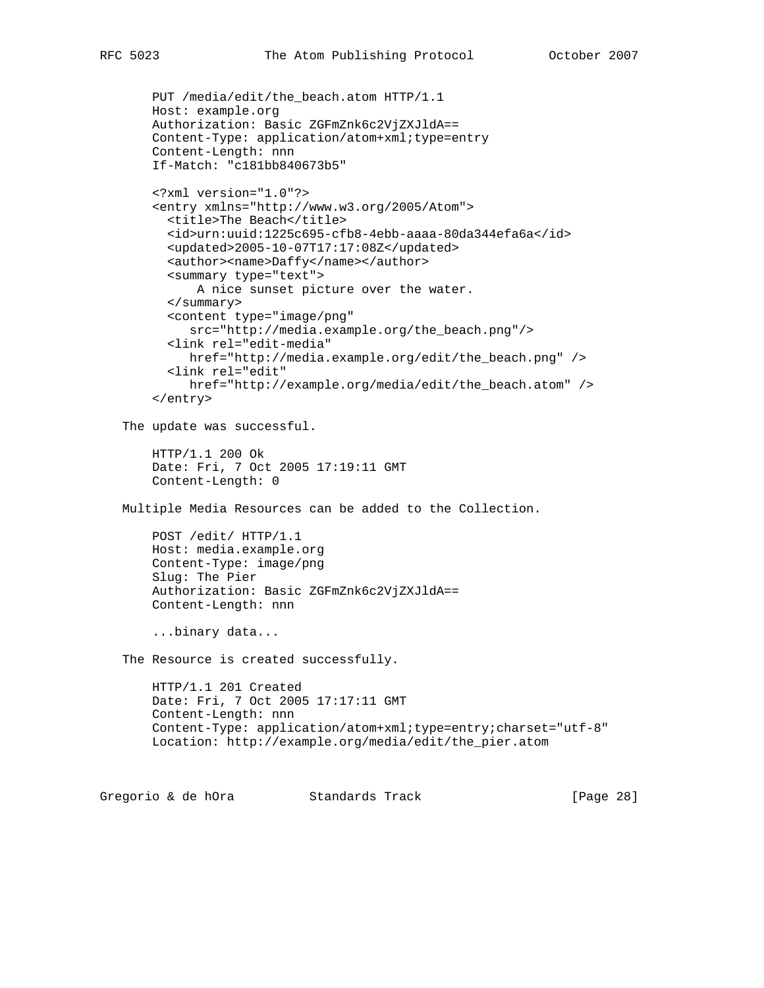```
 PUT /media/edit/the_beach.atom HTTP/1.1
    Host: example.org
    Authorization: Basic ZGFmZnk6c2VjZXJldA==
    Content-Type: application/atom+xml;type=entry
     Content-Length: nnn
     If-Match: "c181bb840673b5"
     <?xml version="1.0"?>
     <entry xmlns="http://www.w3.org/2005/Atom">
     <title>The Beach</title>
       <id>urn:uuid:1225c695-cfb8-4ebb-aaaa-80da344efa6a</id>
       <updated>2005-10-07T17:17:08Z</updated>
       <author><name>Daffy</name></author>
       <summary type="text">
           A nice sunset picture over the water.
       </summary>
       <content type="image/png"
          src="http://media.example.org/the_beach.png"/>
       <link rel="edit-media"
          href="http://media.example.org/edit/the_beach.png" />
       <link rel="edit"
          href="http://example.org/media/edit/the_beach.atom" />
     </entry>
 The update was successful.
     HTTP/1.1 200 Ok
    Date: Fri, 7 Oct 2005 17:19:11 GMT
    Content-Length: 0
 Multiple Media Resources can be added to the Collection.
     POST /edit/ HTTP/1.1
    Host: media.example.org
    Content-Type: image/png
     Slug: The Pier
     Authorization: Basic ZGFmZnk6c2VjZXJldA==
     Content-Length: nnn
     ...binary data...
 The Resource is created successfully.
     HTTP/1.1 201 Created
    Date: Fri, 7 Oct 2005 17:17:11 GMT
    Content-Length: nnn
    Content-Type: application/atom+xml;type=entry;charset="utf-8"
    Location: http://example.org/media/edit/the_pier.atom
```
Gregorio & de hOra Standards Track [Page 28]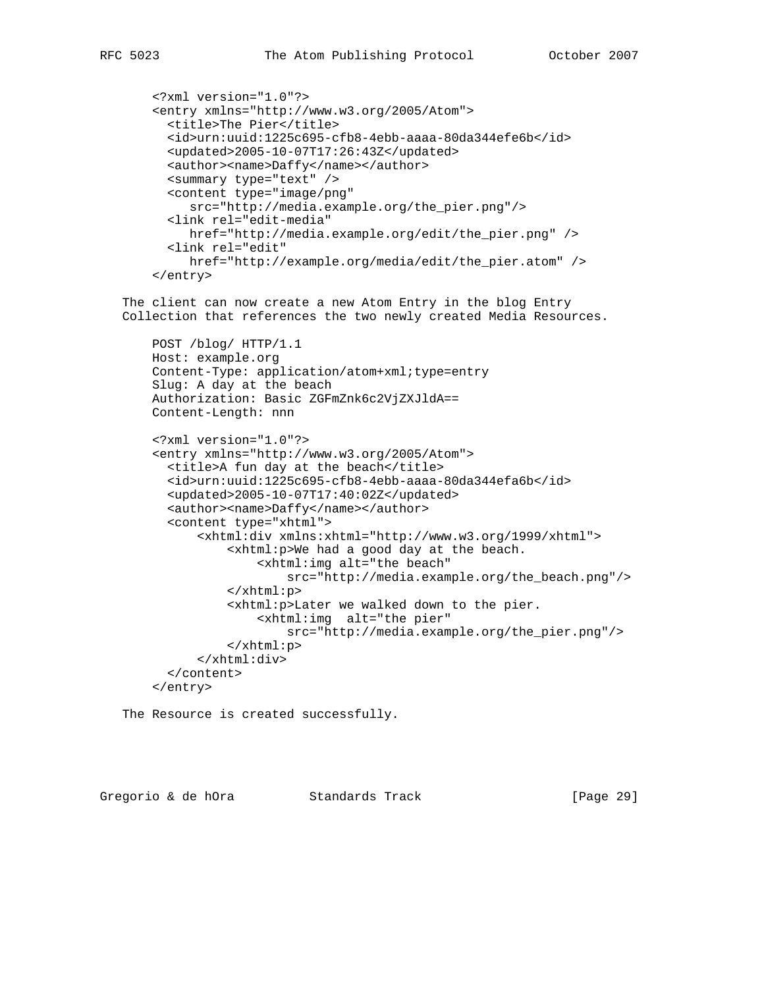```
 <?xml version="1.0"?>
 <entry xmlns="http://www.w3.org/2005/Atom">
   <title>The Pier</title>
   <id>urn:uuid:1225c695-cfb8-4ebb-aaaa-80da344efe6b</id>
  <updated>2005-10-07T17:26:43Z</updated>
 <author><name>Daffy</name></author>
  <summary type="text" />
   <content type="image/png"
      src="http://media.example.org/the_pier.png"/>
   <link rel="edit-media"
     href="http://media.example.org/edit/the_pier.png" />
   <link rel="edit"
     href="http://example.org/media/edit/the_pier.atom" />
```

```
 </entry>
```
 The client can now create a new Atom Entry in the blog Entry Collection that references the two newly created Media Resources.

```
 POST /blog/ HTTP/1.1
 Host: example.org
 Content-Type: application/atom+xml;type=entry
 Slug: A day at the beach
 Authorization: Basic ZGFmZnk6c2VjZXJldA==
 Content-Length: nnn
```
 <?xml version="1.0"?> <entry xmlns="http://www.w3.org/2005/Atom"> <title>A fun day at the beach</title> <id>urn:uuid:1225c695-cfb8-4ebb-aaaa-80da344efa6b</id> <updated>2005-10-07T17:40:02Z</updated> <author><name>Daffy</name></author> <content type="xhtml"> <xhtml:div xmlns:xhtml="http://www.w3.org/1999/xhtml"> <xhtml:p>We had a good day at the beach. <xhtml:img alt="the beach" src="http://media.example.org/the\_beach.png"/> </xhtml:p> <xhtml:p>Later we walked down to the pier. <xhtml:img alt="the pier" src="http://media.example.org/the\_pier.png"/> </xhtml:p> </xhtml:div> </content> </entry>

The Resource is created successfully.

Gregorio & de hOra Standards Track [Page 29]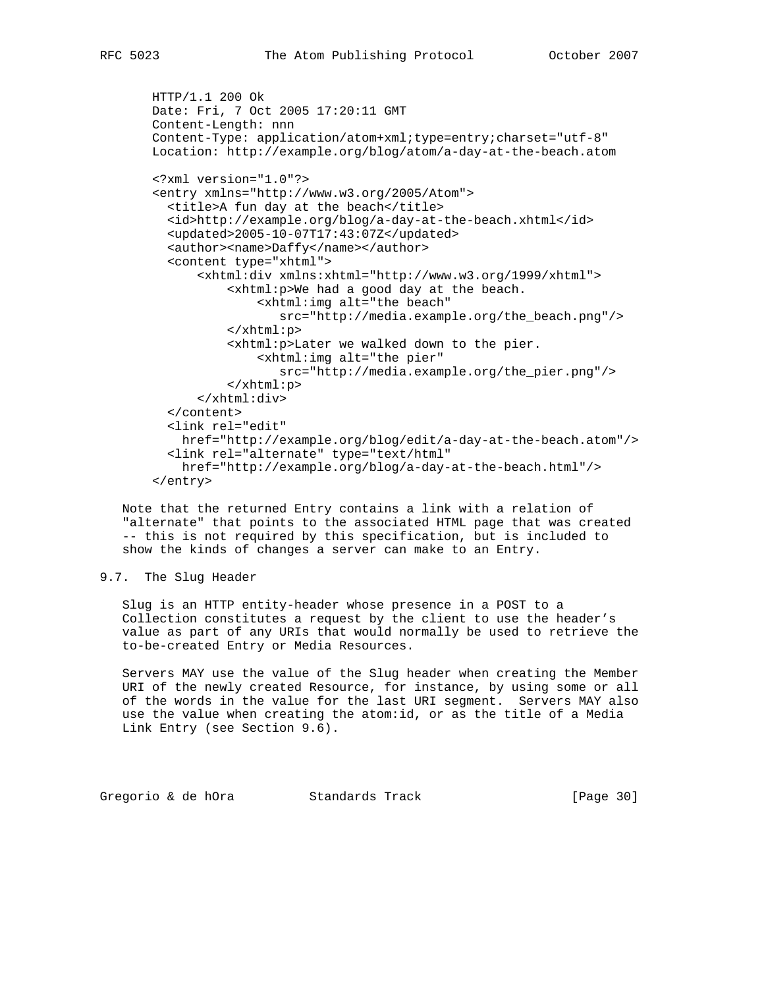```
 HTTP/1.1 200 Ok
 Date: Fri, 7 Oct 2005 17:20:11 GMT
 Content-Length: nnn
 Content-Type: application/atom+xml;type=entry;charset="utf-8"
 Location: http://example.org/blog/atom/a-day-at-the-beach.atom
 <?xml version="1.0"?>
 <entry xmlns="http://www.w3.org/2005/Atom">
  <title>A fun day at the beach</title>
   <id>http://example.org/blog/a-day-at-the-beach.xhtml</id>
   <updated>2005-10-07T17:43:07Z</updated>
   <author><name>Daffy</name></author>
   <content type="xhtml">
       <xhtml:div xmlns:xhtml="http://www.w3.org/1999/xhtml">
           <xhtml:p>We had a good day at the beach.
               <xhtml:img alt="the beach"
                  src="http://media.example.org/the_beach.png"/>
           </xhtml:p>
           <xhtml:p>Later we walked down to the pier.
               <xhtml:img alt="the pier"
                  src="http://media.example.org/the_pier.png"/>
           </xhtml:p>
       </xhtml:div>
   </content>
   <link rel="edit"
     href="http://example.org/blog/edit/a-day-at-the-beach.atom"/>
   <link rel="alternate" type="text/html"
     href="http://example.org/blog/a-day-at-the-beach.html"/>
 </entry>
```
 Note that the returned Entry contains a link with a relation of "alternate" that points to the associated HTML page that was created -- this is not required by this specification, but is included to show the kinds of changes a server can make to an Entry.

## 9.7. The Slug Header

 Slug is an HTTP entity-header whose presence in a POST to a Collection constitutes a request by the client to use the header's value as part of any URIs that would normally be used to retrieve the to-be-created Entry or Media Resources.

 Servers MAY use the value of the Slug header when creating the Member URI of the newly created Resource, for instance, by using some or all of the words in the value for the last URI segment. Servers MAY also use the value when creating the atom:id, or as the title of a Media Link Entry (see Section 9.6).

Gregorio & de hOra Standards Track [Page 30]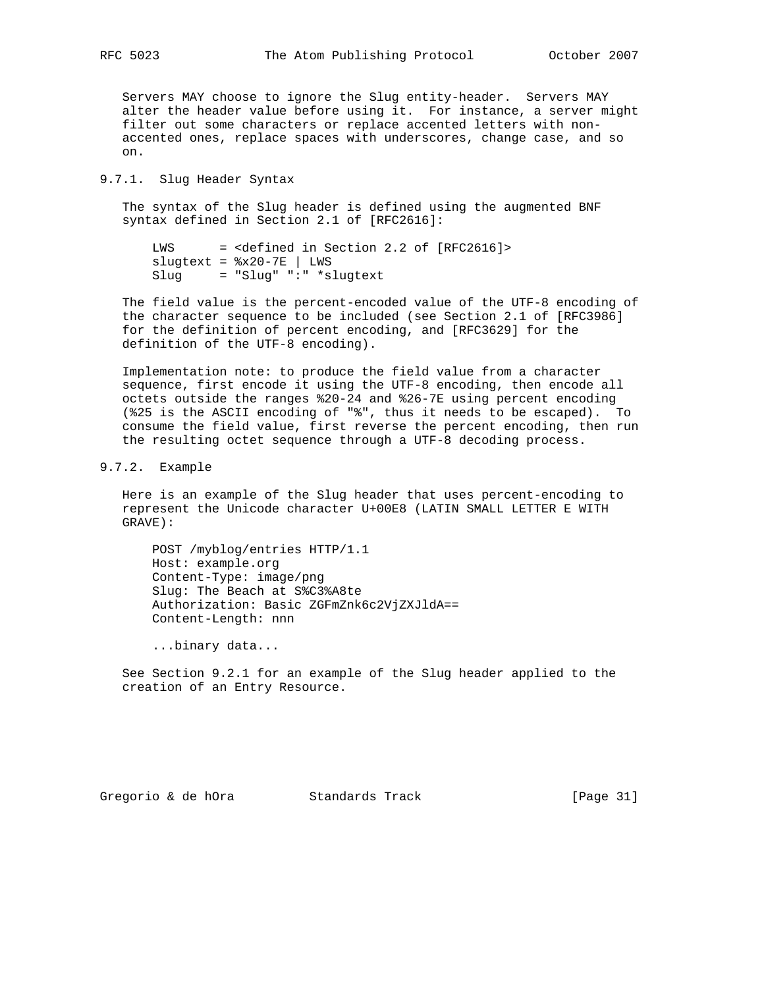Servers MAY choose to ignore the Slug entity-header. Servers MAY alter the header value before using it. For instance, a server might filter out some characters or replace accented letters with non accented ones, replace spaces with underscores, change case, and so on.

## 9.7.1. Slug Header Syntax

 The syntax of the Slug header is defined using the augmented BNF syntax defined in Section 2.1 of [RFC2616]:

 LWS = <defined in Section 2.2 of [RFC2616]>  $slugtext =  $8x20-7E$  | LWS$ Slug = "Slug" ":" \*slugtext

 The field value is the percent-encoded value of the UTF-8 encoding of the character sequence to be included (see Section 2.1 of [RFC3986] for the definition of percent encoding, and [RFC3629] for the definition of the UTF-8 encoding).

 Implementation note: to produce the field value from a character sequence, first encode it using the UTF-8 encoding, then encode all octets outside the ranges %20-24 and %26-7E using percent encoding (%25 is the ASCII encoding of "%", thus it needs to be escaped). To consume the field value, first reverse the percent encoding, then run the resulting octet sequence through a UTF-8 decoding process.

## 9.7.2. Example

 Here is an example of the Slug header that uses percent-encoding to represent the Unicode character U+00E8 (LATIN SMALL LETTER E WITH GRAVE):

 POST /myblog/entries HTTP/1.1 Host: example.org Content-Type: image/png Slug: The Beach at S%C3%A8te Authorization: Basic ZGFmZnk6c2VjZXJldA== Content-Length: nnn

...binary data...

 See Section 9.2.1 for an example of the Slug header applied to the creation of an Entry Resource.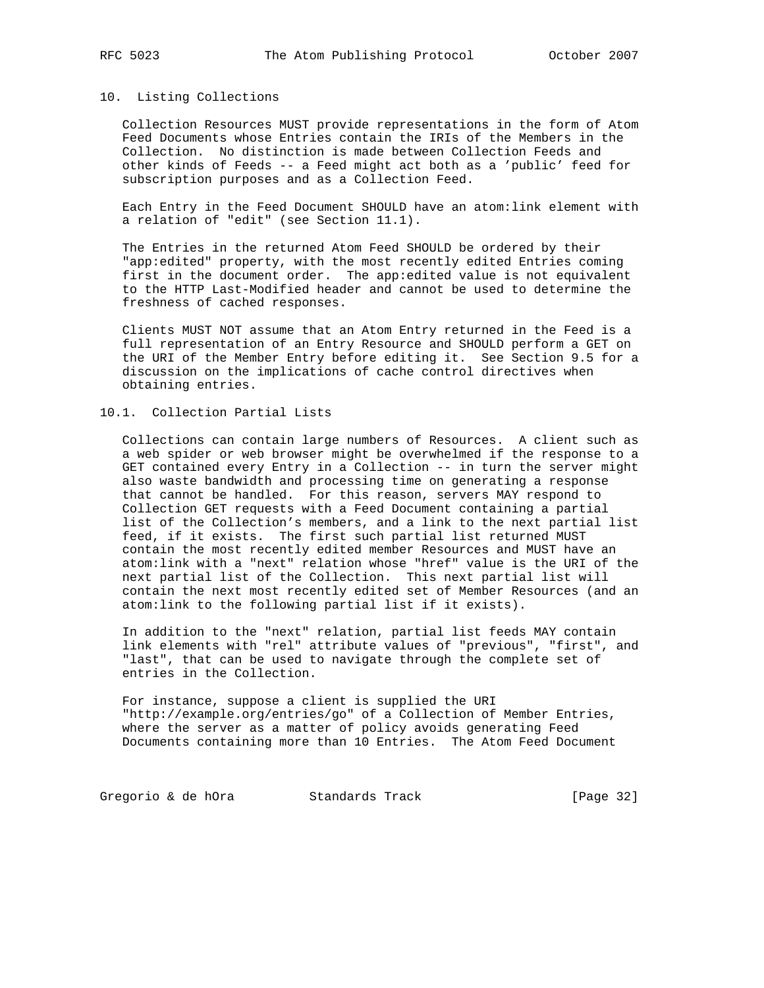#### 10. Listing Collections

 Collection Resources MUST provide representations in the form of Atom Feed Documents whose Entries contain the IRIs of the Members in the Collection. No distinction is made between Collection Feeds and other kinds of Feeds -- a Feed might act both as a 'public' feed for subscription purposes and as a Collection Feed.

 Each Entry in the Feed Document SHOULD have an atom:link element with a relation of "edit" (see Section 11.1).

 The Entries in the returned Atom Feed SHOULD be ordered by their "app:edited" property, with the most recently edited Entries coming first in the document order. The app:edited value is not equivalent to the HTTP Last-Modified header and cannot be used to determine the freshness of cached responses.

 Clients MUST NOT assume that an Atom Entry returned in the Feed is a full representation of an Entry Resource and SHOULD perform a GET on the URI of the Member Entry before editing it. See Section 9.5 for a discussion on the implications of cache control directives when obtaining entries.

## 10.1. Collection Partial Lists

 Collections can contain large numbers of Resources. A client such as a web spider or web browser might be overwhelmed if the response to a GET contained every Entry in a Collection -- in turn the server might also waste bandwidth and processing time on generating a response that cannot be handled. For this reason, servers MAY respond to Collection GET requests with a Feed Document containing a partial list of the Collection's members, and a link to the next partial list feed, if it exists. The first such partial list returned MUST contain the most recently edited member Resources and MUST have an atom:link with a "next" relation whose "href" value is the URI of the next partial list of the Collection. This next partial list will contain the next most recently edited set of Member Resources (and an atom:link to the following partial list if it exists).

 In addition to the "next" relation, partial list feeds MAY contain link elements with "rel" attribute values of "previous", "first", and "last", that can be used to navigate through the complete set of entries in the Collection.

 For instance, suppose a client is supplied the URI "http://example.org/entries/go" of a Collection of Member Entries, where the server as a matter of policy avoids generating Feed Documents containing more than 10 Entries. The Atom Feed Document

Gregorio & de hOra Standards Track [Page 32]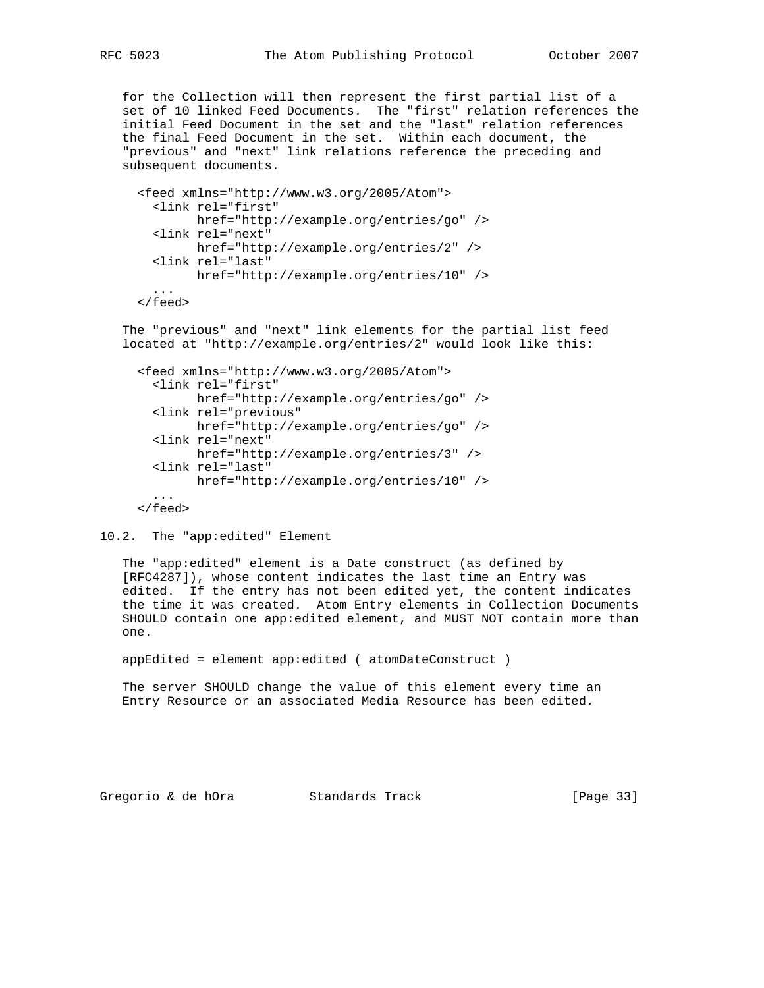for the Collection will then represent the first partial list of a set of 10 linked Feed Documents. The "first" relation references the initial Feed Document in the set and the "last" relation references the final Feed Document in the set. Within each document, the "previous" and "next" link relations reference the preceding and subsequent documents.

```
 <feed xmlns="http://www.w3.org/2005/Atom">
   <link rel="first"
         href="http://example.org/entries/go" />
   <link rel="next"
        href="http://example.org/entries/2" />
   <link rel="last"
        href="http://example.org/entries/10" />
   ...
 </feed>
```
 The "previous" and "next" link elements for the partial list feed located at "http://example.org/entries/2" would look like this:

```
 <feed xmlns="http://www.w3.org/2005/Atom">
   <link rel="first"
         href="http://example.org/entries/go" />
   <link rel="previous"
         href="http://example.org/entries/go" />
   <link rel="next"
         href="http://example.org/entries/3" />
   <link rel="last"
         href="http://example.org/entries/10" />
   ...
 </feed>
```

```
10.2. The "app:edited" Element
```
 The "app:edited" element is a Date construct (as defined by [RFC4287]), whose content indicates the last time an Entry was edited. If the entry has not been edited yet, the content indicates the time it was created. Atom Entry elements in Collection Documents SHOULD contain one app:edited element, and MUST NOT contain more than one.

appEdited = element app:edited ( atomDateConstruct )

 The server SHOULD change the value of this element every time an Entry Resource or an associated Media Resource has been edited.

Gregorio & de hOra Standards Track [Page 33]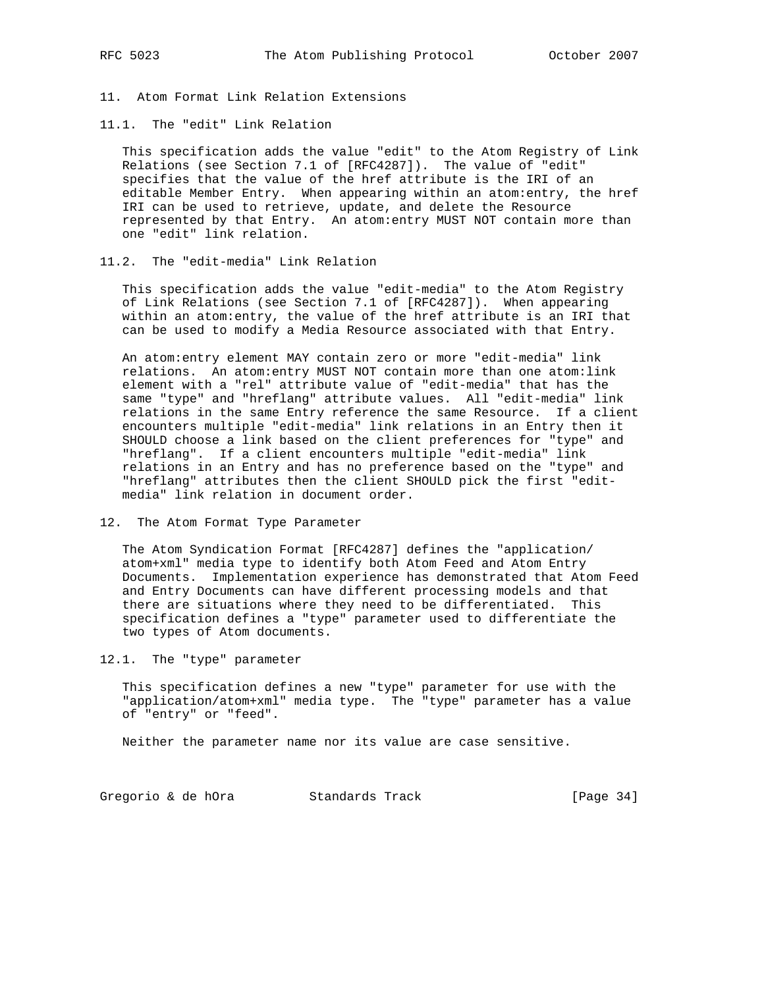11. Atom Format Link Relation Extensions

11.1. The "edit" Link Relation

 This specification adds the value "edit" to the Atom Registry of Link Relations (see Section 7.1 of [RFC4287]). The value of "edit" specifies that the value of the href attribute is the IRI of an editable Member Entry. When appearing within an atom:entry, the href IRI can be used to retrieve, update, and delete the Resource represented by that Entry. An atom:entry MUST NOT contain more than one "edit" link relation.

## 11.2. The "edit-media" Link Relation

 This specification adds the value "edit-media" to the Atom Registry of Link Relations (see Section 7.1 of [RFC4287]). When appearing within an atom:entry, the value of the href attribute is an IRI that can be used to modify a Media Resource associated with that Entry.

 An atom:entry element MAY contain zero or more "edit-media" link relations. An atom:entry MUST NOT contain more than one atom:link element with a "rel" attribute value of "edit-media" that has the same "type" and "hreflang" attribute values. All "edit-media" link relations in the same Entry reference the same Resource. If a client encounters multiple "edit-media" link relations in an Entry then it SHOULD choose a link based on the client preferences for "type" and "hreflang". If a client encounters multiple "edit-media" link relations in an Entry and has no preference based on the "type" and "hreflang" attributes then the client SHOULD pick the first "edit media" link relation in document order.

12. The Atom Format Type Parameter

 The Atom Syndication Format [RFC4287] defines the "application/ atom+xml" media type to identify both Atom Feed and Atom Entry Documents. Implementation experience has demonstrated that Atom Feed and Entry Documents can have different processing models and that there are situations where they need to be differentiated. This specification defines a "type" parameter used to differentiate the two types of Atom documents.

12.1. The "type" parameter

 This specification defines a new "type" parameter for use with the "application/atom+xml" media type. The "type" parameter has a value of "entry" or "feed".

Neither the parameter name nor its value are case sensitive.

Gregorio & de hOra Standards Track [Page 34]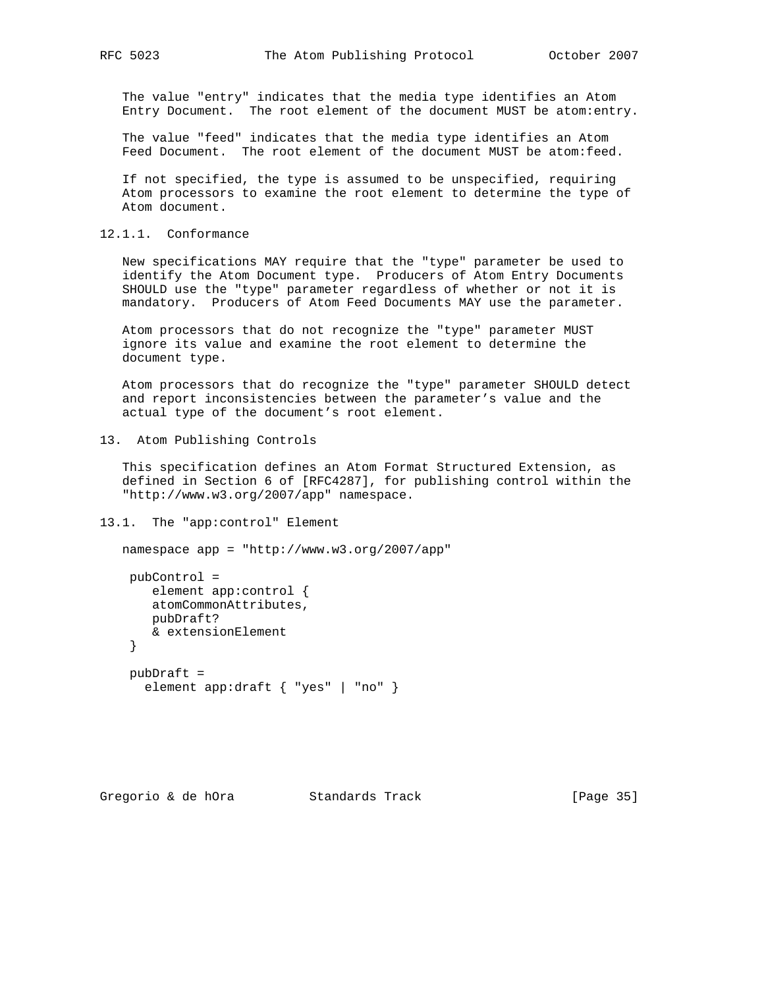The value "entry" indicates that the media type identifies an Atom Entry Document. The root element of the document MUST be atom:entry.

 The value "feed" indicates that the media type identifies an Atom Feed Document. The root element of the document MUST be atom:feed.

 If not specified, the type is assumed to be unspecified, requiring Atom processors to examine the root element to determine the type of Atom document.

12.1.1. Conformance

 New specifications MAY require that the "type" parameter be used to identify the Atom Document type. Producers of Atom Entry Documents SHOULD use the "type" parameter regardless of whether or not it is mandatory. Producers of Atom Feed Documents MAY use the parameter.

 Atom processors that do not recognize the "type" parameter MUST ignore its value and examine the root element to determine the document type.

 Atom processors that do recognize the "type" parameter SHOULD detect and report inconsistencies between the parameter's value and the actual type of the document's root element.

13. Atom Publishing Controls

 This specification defines an Atom Format Structured Extension, as defined in Section 6 of [RFC4287], for publishing control within the "http://www.w3.org/2007/app" namespace.

13.1. The "app:control" Element

```
 namespace app = "http://www.w3.org/2007/app"
  pubControl =
    element app:control {
     atomCommonAttributes,
     pubDraft?
     & extensionElement
  }
  pubDraft =
    element app:draft { "yes" | "no" }
```
Gregorio & de hOra Standards Track [Page 35]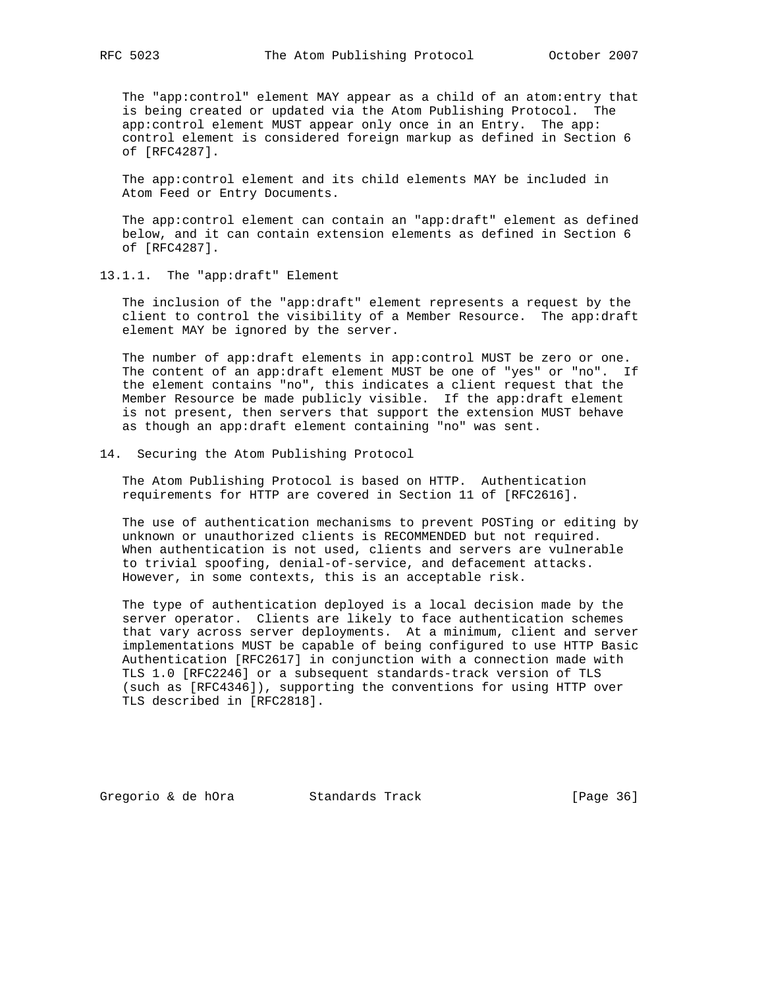The "app:control" element MAY appear as a child of an atom:entry that is being created or updated via the Atom Publishing Protocol. The app:control element MUST appear only once in an Entry. The app: control element is considered foreign markup as defined in Section 6 of [RFC4287].

 The app:control element and its child elements MAY be included in Atom Feed or Entry Documents.

 The app:control element can contain an "app:draft" element as defined below, and it can contain extension elements as defined in Section 6 of [RFC4287].

13.1.1. The "app:draft" Element

 The inclusion of the "app:draft" element represents a request by the client to control the visibility of a Member Resource. The app:draft element MAY be ignored by the server.

 The number of app:draft elements in app:control MUST be zero or one. The content of an app:draft element MUST be one of "yes" or "no". If the element contains "no", this indicates a client request that the Member Resource be made publicly visible. If the app:draft element is not present, then servers that support the extension MUST behave as though an app:draft element containing "no" was sent.

14. Securing the Atom Publishing Protocol

 The Atom Publishing Protocol is based on HTTP. Authentication requirements for HTTP are covered in Section 11 of [RFC2616].

 The use of authentication mechanisms to prevent POSTing or editing by unknown or unauthorized clients is RECOMMENDED but not required. When authentication is not used, clients and servers are vulnerable to trivial spoofing, denial-of-service, and defacement attacks. However, in some contexts, this is an acceptable risk.

 The type of authentication deployed is a local decision made by the server operator. Clients are likely to face authentication schemes that vary across server deployments. At a minimum, client and server implementations MUST be capable of being configured to use HTTP Basic Authentication [RFC2617] in conjunction with a connection made with TLS 1.0 [RFC2246] or a subsequent standards-track version of TLS (such as [RFC4346]), supporting the conventions for using HTTP over TLS described in [RFC2818].

Gregorio & de hOra Standards Track [Page 36]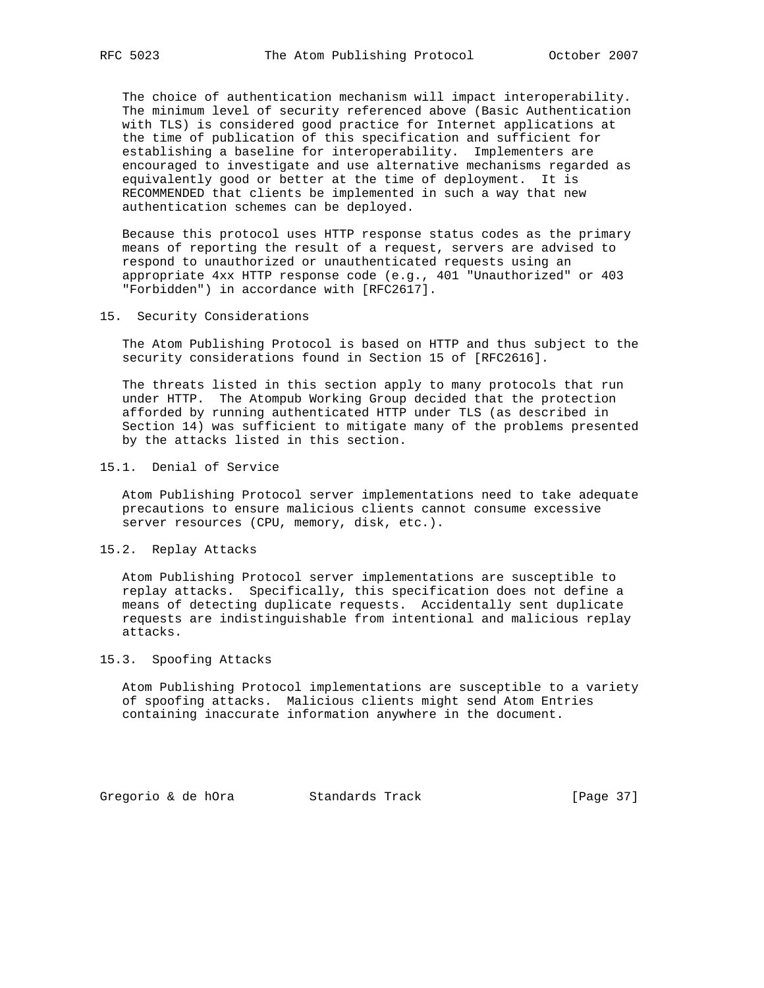The choice of authentication mechanism will impact interoperability. The minimum level of security referenced above (Basic Authentication with TLS) is considered good practice for Internet applications at the time of publication of this specification and sufficient for establishing a baseline for interoperability. Implementers are encouraged to investigate and use alternative mechanisms regarded as equivalently good or better at the time of deployment. It is RECOMMENDED that clients be implemented in such a way that new authentication schemes can be deployed.

 Because this protocol uses HTTP response status codes as the primary means of reporting the result of a request, servers are advised to respond to unauthorized or unauthenticated requests using an appropriate 4xx HTTP response code (e.g., 401 "Unauthorized" or 403 "Forbidden") in accordance with [RFC2617].

#### 15. Security Considerations

 The Atom Publishing Protocol is based on HTTP and thus subject to the security considerations found in Section 15 of [RFC2616].

 The threats listed in this section apply to many protocols that run under HTTP. The Atompub Working Group decided that the protection afforded by running authenticated HTTP under TLS (as described in Section 14) was sufficient to mitigate many of the problems presented by the attacks listed in this section.

#### 15.1. Denial of Service

 Atom Publishing Protocol server implementations need to take adequate precautions to ensure malicious clients cannot consume excessive server resources (CPU, memory, disk, etc.).

15.2. Replay Attacks

 Atom Publishing Protocol server implementations are susceptible to replay attacks. Specifically, this specification does not define a means of detecting duplicate requests. Accidentally sent duplicate requests are indistinguishable from intentional and malicious replay attacks.

## 15.3. Spoofing Attacks

 Atom Publishing Protocol implementations are susceptible to a variety of spoofing attacks. Malicious clients might send Atom Entries containing inaccurate information anywhere in the document.

Gregorio & de hOra Standards Track [Page 37]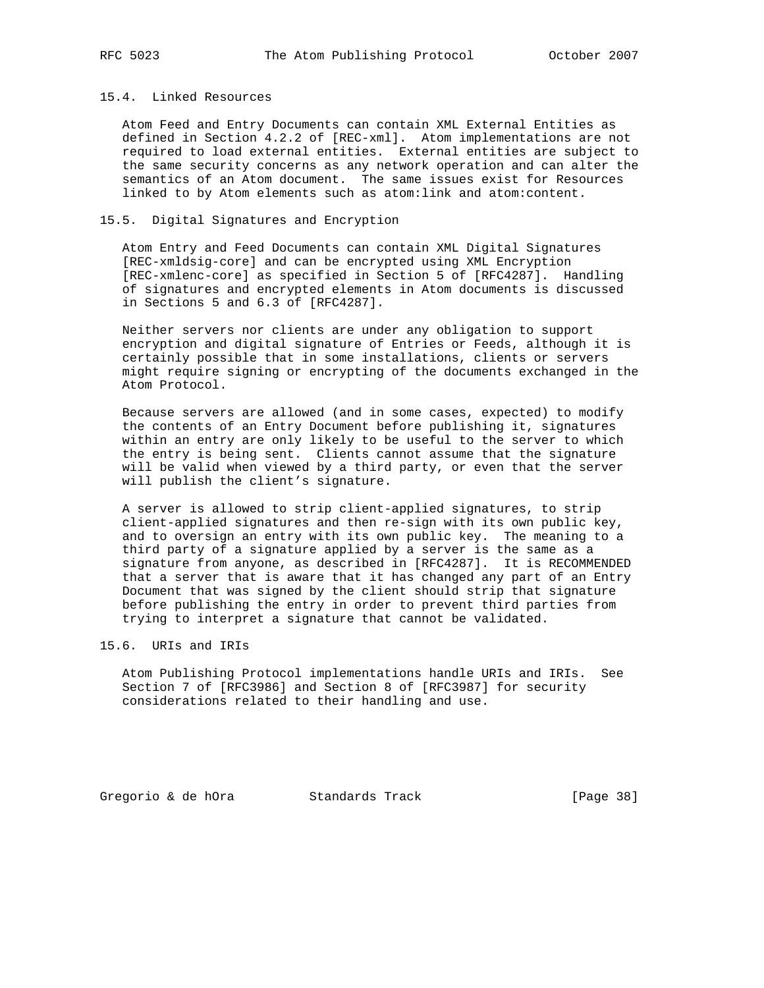## 15.4. Linked Resources

 Atom Feed and Entry Documents can contain XML External Entities as defined in Section 4.2.2 of [REC-xml]. Atom implementations are not required to load external entities. External entities are subject to the same security concerns as any network operation and can alter the semantics of an Atom document. The same issues exist for Resources linked to by Atom elements such as atom:link and atom:content.

## 15.5. Digital Signatures and Encryption

 Atom Entry and Feed Documents can contain XML Digital Signatures [REC-xmldsig-core] and can be encrypted using XML Encryption [REC-xmlenc-core] as specified in Section 5 of [RFC4287]. Handling of signatures and encrypted elements in Atom documents is discussed in Sections 5 and 6.3 of [RFC4287].

 Neither servers nor clients are under any obligation to support encryption and digital signature of Entries or Feeds, although it is certainly possible that in some installations, clients or servers might require signing or encrypting of the documents exchanged in the Atom Protocol.

 Because servers are allowed (and in some cases, expected) to modify the contents of an Entry Document before publishing it, signatures within an entry are only likely to be useful to the server to which the entry is being sent. Clients cannot assume that the signature will be valid when viewed by a third party, or even that the server will publish the client's signature.

 A server is allowed to strip client-applied signatures, to strip client-applied signatures and then re-sign with its own public key, and to oversign an entry with its own public key. The meaning to a third party of a signature applied by a server is the same as a signature from anyone, as described in [RFC4287]. It is RECOMMENDED that a server that is aware that it has changed any part of an Entry Document that was signed by the client should strip that signature before publishing the entry in order to prevent third parties from trying to interpret a signature that cannot be validated.

15.6. URIs and IRIs

 Atom Publishing Protocol implementations handle URIs and IRIs. See Section 7 of [RFC3986] and Section 8 of [RFC3987] for security considerations related to their handling and use.

Gregorio & de hOra Standards Track [Page 38]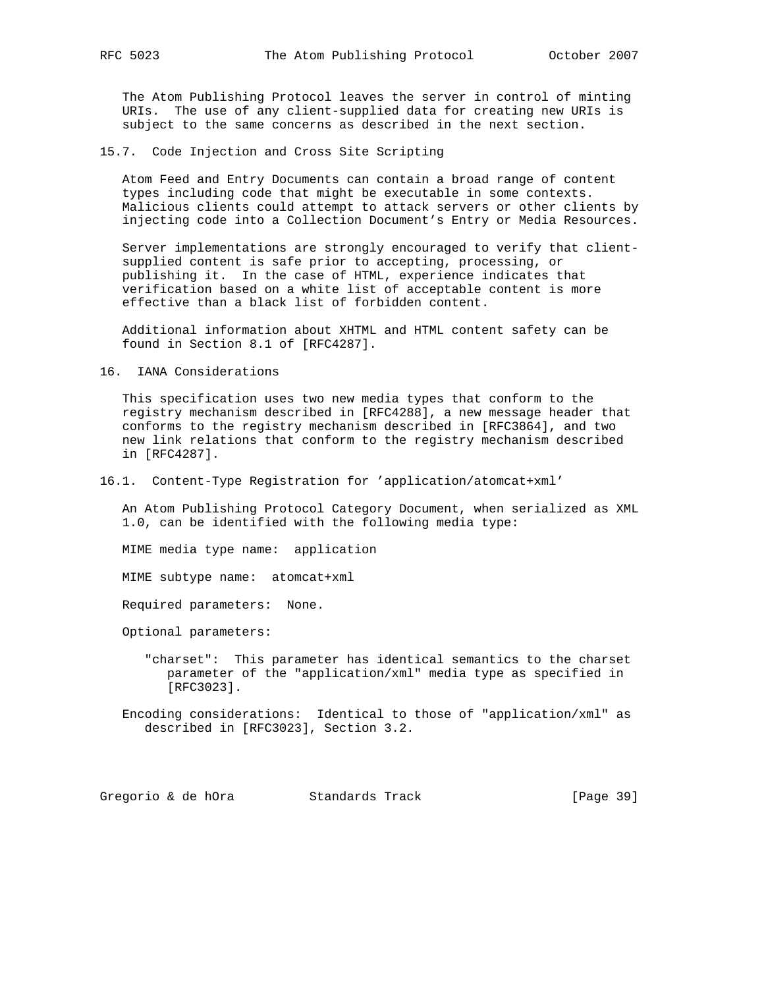The Atom Publishing Protocol leaves the server in control of minting URIs. The use of any client-supplied data for creating new URIs is subject to the same concerns as described in the next section.

15.7. Code Injection and Cross Site Scripting

 Atom Feed and Entry Documents can contain a broad range of content types including code that might be executable in some contexts. Malicious clients could attempt to attack servers or other clients by injecting code into a Collection Document's Entry or Media Resources.

 Server implementations are strongly encouraged to verify that client supplied content is safe prior to accepting, processing, or publishing it. In the case of HTML, experience indicates that verification based on a white list of acceptable content is more effective than a black list of forbidden content.

 Additional information about XHTML and HTML content safety can be found in Section 8.1 of [RFC4287].

16. IANA Considerations

 This specification uses two new media types that conform to the registry mechanism described in [RFC4288], a new message header that conforms to the registry mechanism described in [RFC3864], and two new link relations that conform to the registry mechanism described in [RFC4287].

16.1. Content-Type Registration for 'application/atomcat+xml'

 An Atom Publishing Protocol Category Document, when serialized as XML 1.0, can be identified with the following media type:

MIME media type name: application

MIME subtype name: atomcat+xml

Required parameters: None.

Optional parameters:

 "charset": This parameter has identical semantics to the charset parameter of the "application/xml" media type as specified in [RFC3023].

 Encoding considerations: Identical to those of "application/xml" as described in [RFC3023], Section 3.2.

Gregorio & de hOra Standards Track [Page 39]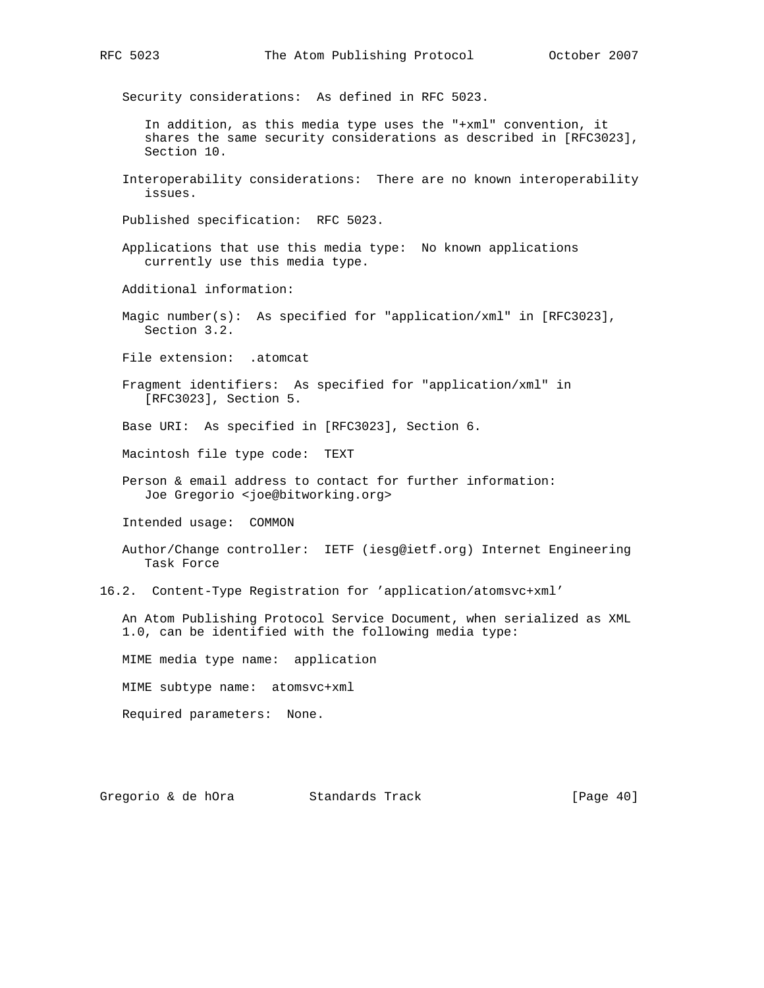Security considerations: As defined in RFC 5023.

 In addition, as this media type uses the "+xml" convention, it shares the same security considerations as described in [RFC3023], Section 10.

 Interoperability considerations: There are no known interoperability issues.

Published specification: RFC 5023.

 Applications that use this media type: No known applications currently use this media type.

Additional information:

 Magic number(s): As specified for "application/xml" in [RFC3023], Section 3.2.

File extension: .atomcat

 Fragment identifiers: As specified for "application/xml" in [RFC3023], Section 5.

Base URI: As specified in [RFC3023], Section 6.

Macintosh file type code: TEXT

 Person & email address to contact for further information: Joe Gregorio <joe@bitworking.org>

Intended usage: COMMON

 Author/Change controller: IETF (iesg@ietf.org) Internet Engineering Task Force

16.2. Content-Type Registration for 'application/atomsvc+xml'

 An Atom Publishing Protocol Service Document, when serialized as XML 1.0, can be identified with the following media type:

MIME media type name: application

MIME subtype name: atomsvc+xml

Required parameters: None.

Gregorio & de hOra  $S$ tandards Track [Page 40]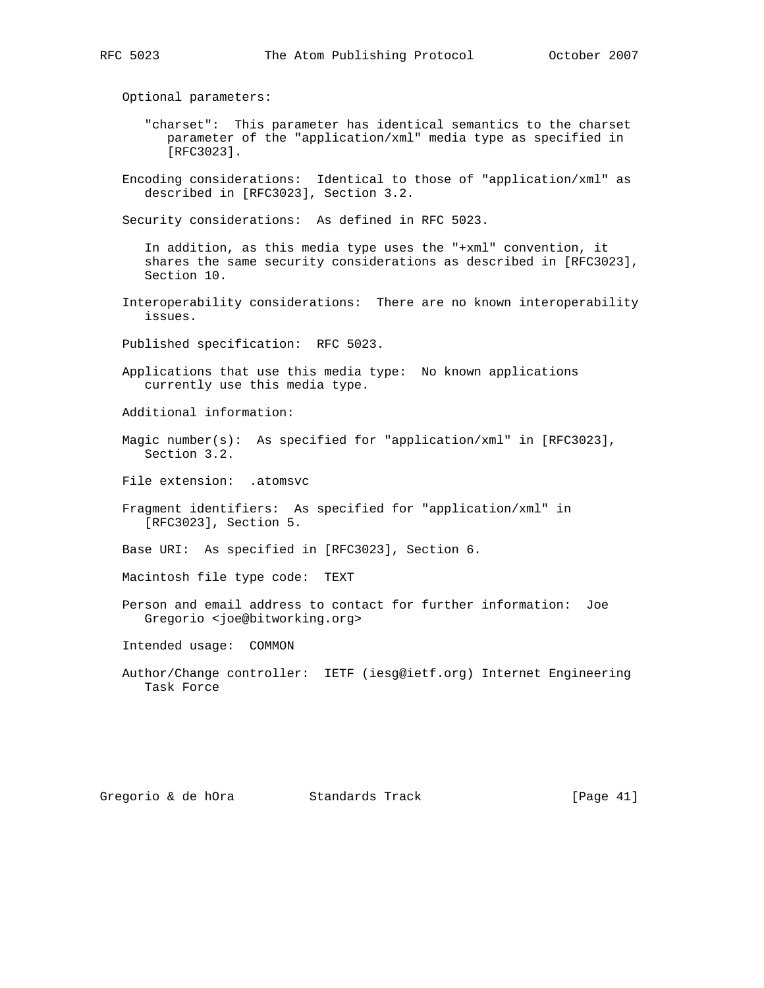Optional parameters:

- "charset": This parameter has identical semantics to the charset parameter of the "application/xml" media type as specified in [RFC3023].
- Encoding considerations: Identical to those of "application/xml" as described in [RFC3023], Section 3.2.

Security considerations: As defined in RFC 5023.

 In addition, as this media type uses the "+xml" convention, it shares the same security considerations as described in [RFC3023], Section 10.

 Interoperability considerations: There are no known interoperability issues.

Published specification: RFC 5023.

- Applications that use this media type: No known applications currently use this media type.
- Additional information:
- Magic number(s): As specified for "application/xml" in [RFC3023], Section 3.2.
- File extension: .atomsvc
- Fragment identifiers: As specified for "application/xml" in [RFC3023], Section 5.

Base URI: As specified in [RFC3023], Section 6.

Macintosh file type code: TEXT

 Person and email address to contact for further information: Joe Gregorio <joe@bitworking.org>

Intended usage: COMMON

 Author/Change controller: IETF (iesg@ietf.org) Internet Engineering Task Force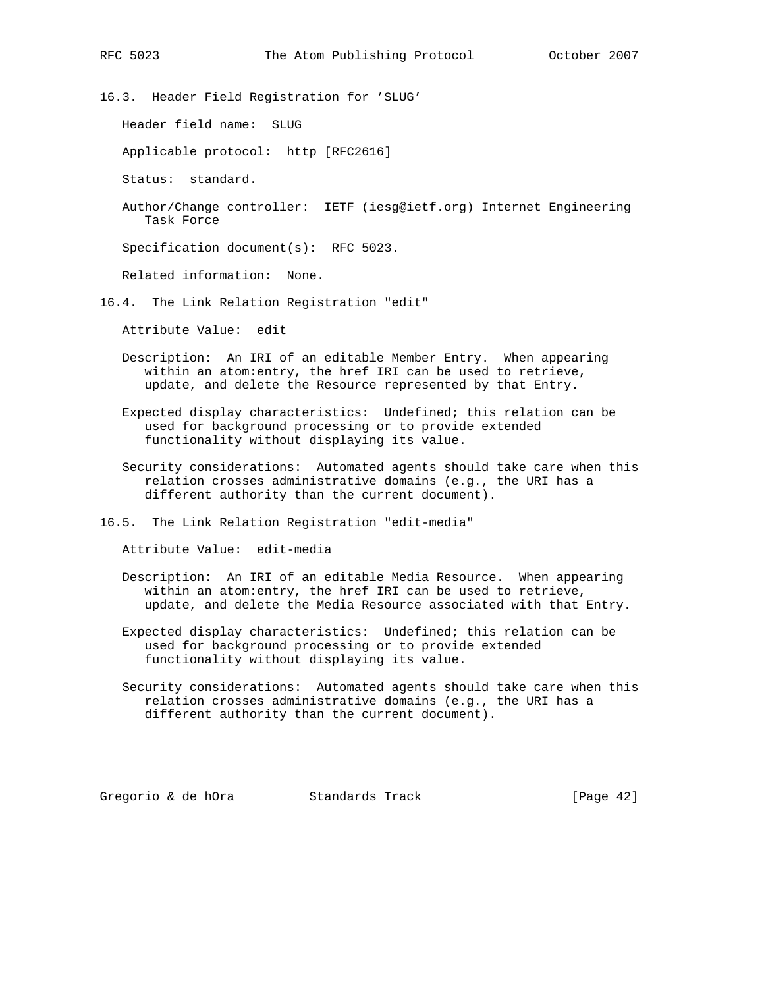16.3. Header Field Registration for 'SLUG'

Header field name: SLUG

Applicable protocol: http [RFC2616]

Status: standard.

 Author/Change controller: IETF (iesg@ietf.org) Internet Engineering Task Force

Specification document(s): RFC 5023.

Related information: None.

16.4. The Link Relation Registration "edit"

Attribute Value: edit

- Description: An IRI of an editable Member Entry. When appearing within an atom:entry, the href IRI can be used to retrieve, update, and delete the Resource represented by that Entry.
- Expected display characteristics: Undefined; this relation can be used for background processing or to provide extended functionality without displaying its value.
- Security considerations: Automated agents should take care when this relation crosses administrative domains (e.g., the URI has a different authority than the current document).

16.5. The Link Relation Registration "edit-media"

Attribute Value: edit-media

- Description: An IRI of an editable Media Resource. When appearing within an atom:entry, the href IRI can be used to retrieve, update, and delete the Media Resource associated with that Entry.
- Expected display characteristics: Undefined; this relation can be used for background processing or to provide extended functionality without displaying its value.
- Security considerations: Automated agents should take care when this relation crosses administrative domains (e.g., the URI has a different authority than the current document).

Gregorio & de hOra Standards Track [Page 42]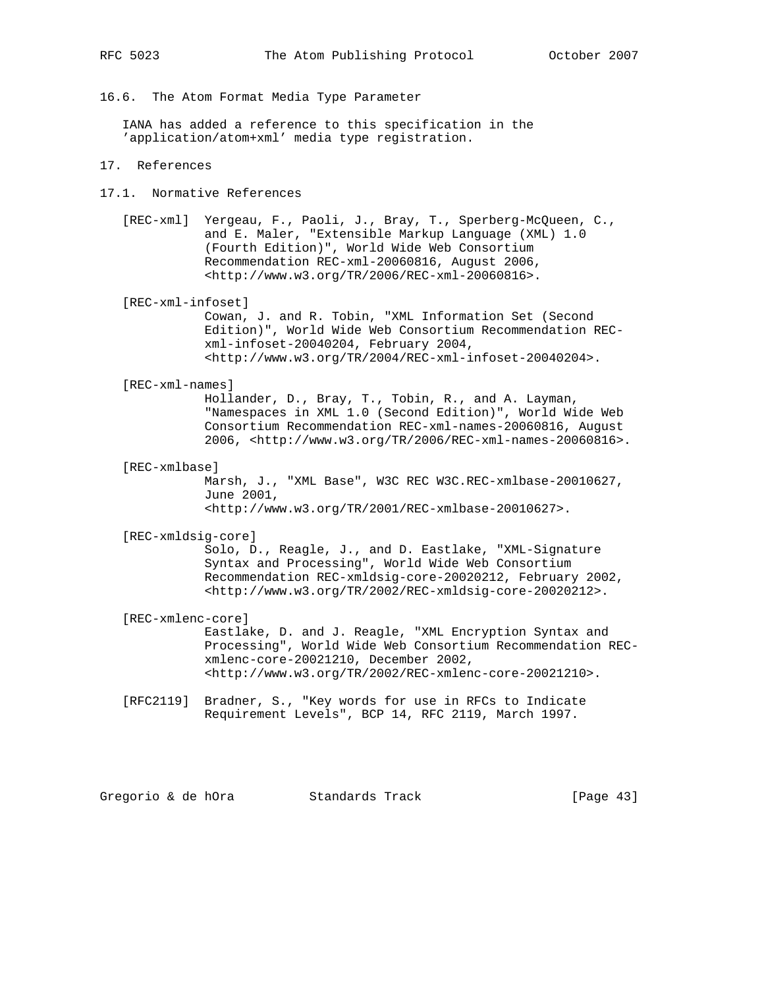16.6. The Atom Format Media Type Parameter

 IANA has added a reference to this specification in the 'application/atom+xml' media type registration.

- 17. References
- 17.1. Normative References
	- [REC-xml] Yergeau, F., Paoli, J., Bray, T., Sperberg-McQueen, C., and E. Maler, "Extensible Markup Language (XML) 1.0 (Fourth Edition)", World Wide Web Consortium Recommendation REC-xml-20060816, August 2006, <http://www.w3.org/TR/2006/REC-xml-20060816>.

[REC-xml-infoset]

 Cowan, J. and R. Tobin, "XML Information Set (Second Edition)", World Wide Web Consortium Recommendation REC xml-infoset-20040204, February 2004, <http://www.w3.org/TR/2004/REC-xml-infoset-20040204>.

#### [REC-xml-names]

 Hollander, D., Bray, T., Tobin, R., and A. Layman, "Namespaces in XML 1.0 (Second Edition)", World Wide Web Consortium Recommendation REC-xml-names-20060816, August 2006, <http://www.w3.org/TR/2006/REC-xml-names-20060816>.

[REC-xmlbase]

 Marsh, J., "XML Base", W3C REC W3C.REC-xmlbase-20010627, June 2001, <http://www.w3.org/TR/2001/REC-xmlbase-20010627>.

[REC-xmldsig-core]

 Solo, D., Reagle, J., and D. Eastlake, "XML-Signature Syntax and Processing", World Wide Web Consortium Recommendation REC-xmldsig-core-20020212, February 2002, <http://www.w3.org/TR/2002/REC-xmldsig-core-20020212>.

[REC-xmlenc-core]

 Eastlake, D. and J. Reagle, "XML Encryption Syntax and Processing", World Wide Web Consortium Recommendation REC xmlenc-core-20021210, December 2002, <http://www.w3.org/TR/2002/REC-xmlenc-core-20021210>.

 [RFC2119] Bradner, S., "Key words for use in RFCs to Indicate Requirement Levels", BCP 14, RFC 2119, March 1997.

Gregorio & de hOra Standards Track [Page 43]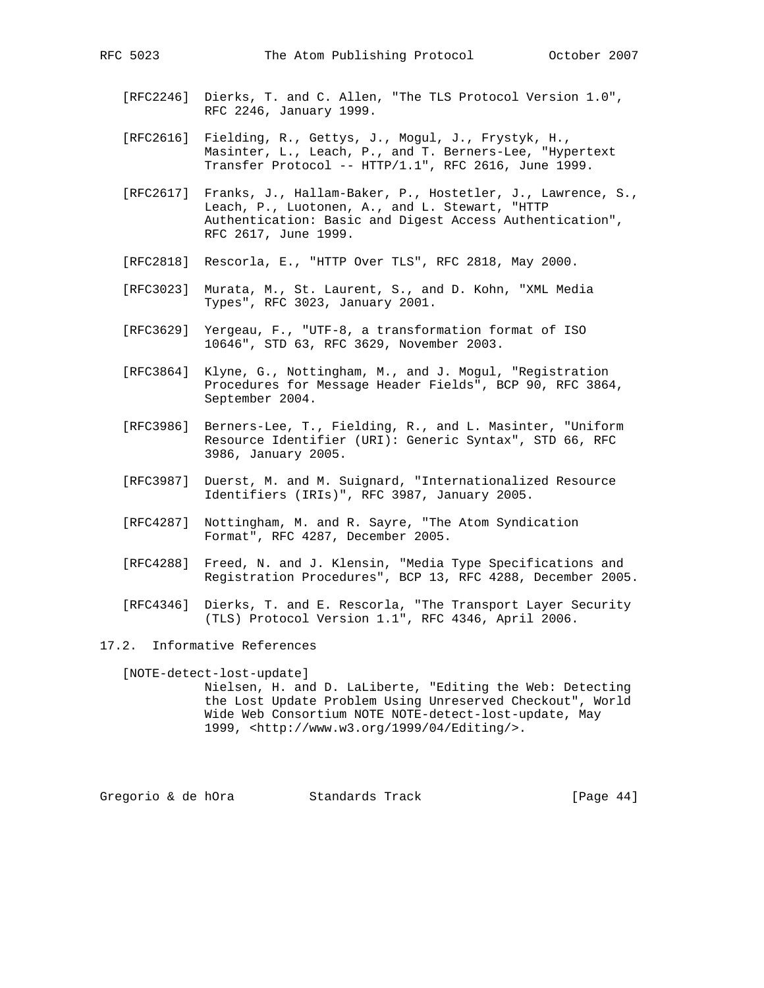- [RFC2246] Dierks, T. and C. Allen, "The TLS Protocol Version 1.0", RFC 2246, January 1999.
- [RFC2616] Fielding, R., Gettys, J., Mogul, J., Frystyk, H., Masinter, L., Leach, P., and T. Berners-Lee, "Hypertext Transfer Protocol -- HTTP/1.1", RFC 2616, June 1999.
- [RFC2617] Franks, J., Hallam-Baker, P., Hostetler, J., Lawrence, S., Leach, P., Luotonen, A., and L. Stewart, "HTTP Authentication: Basic and Digest Access Authentication", RFC 2617, June 1999.
- [RFC2818] Rescorla, E., "HTTP Over TLS", RFC 2818, May 2000.
- [RFC3023] Murata, M., St. Laurent, S., and D. Kohn, "XML Media Types", RFC 3023, January 2001.
- [RFC3629] Yergeau, F., "UTF-8, a transformation format of ISO 10646", STD 63, RFC 3629, November 2003.
- [RFC3864] Klyne, G., Nottingham, M., and J. Mogul, "Registration Procedures for Message Header Fields", BCP 90, RFC 3864, September 2004.
- [RFC3986] Berners-Lee, T., Fielding, R., and L. Masinter, "Uniform Resource Identifier (URI): Generic Syntax", STD 66, RFC 3986, January 2005.
- [RFC3987] Duerst, M. and M. Suignard, "Internationalized Resource Identifiers (IRIs)", RFC 3987, January 2005.
- [RFC4287] Nottingham, M. and R. Sayre, "The Atom Syndication Format", RFC 4287, December 2005.
- [RFC4288] Freed, N. and J. Klensin, "Media Type Specifications and Registration Procedures", BCP 13, RFC 4288, December 2005.
- [RFC4346] Dierks, T. and E. Rescorla, "The Transport Layer Security (TLS) Protocol Version 1.1", RFC 4346, April 2006.
- 17.2. Informative References

 [NOTE-detect-lost-update] Nielsen, H. and D. LaLiberte, "Editing the Web: Detecting the Lost Update Problem Using Unreserved Checkout", World Wide Web Consortium NOTE NOTE-detect-lost-update, May 1999, <http://www.w3.org/1999/04/Editing/>.

Gregorio & de hOra Standards Track [Page 44]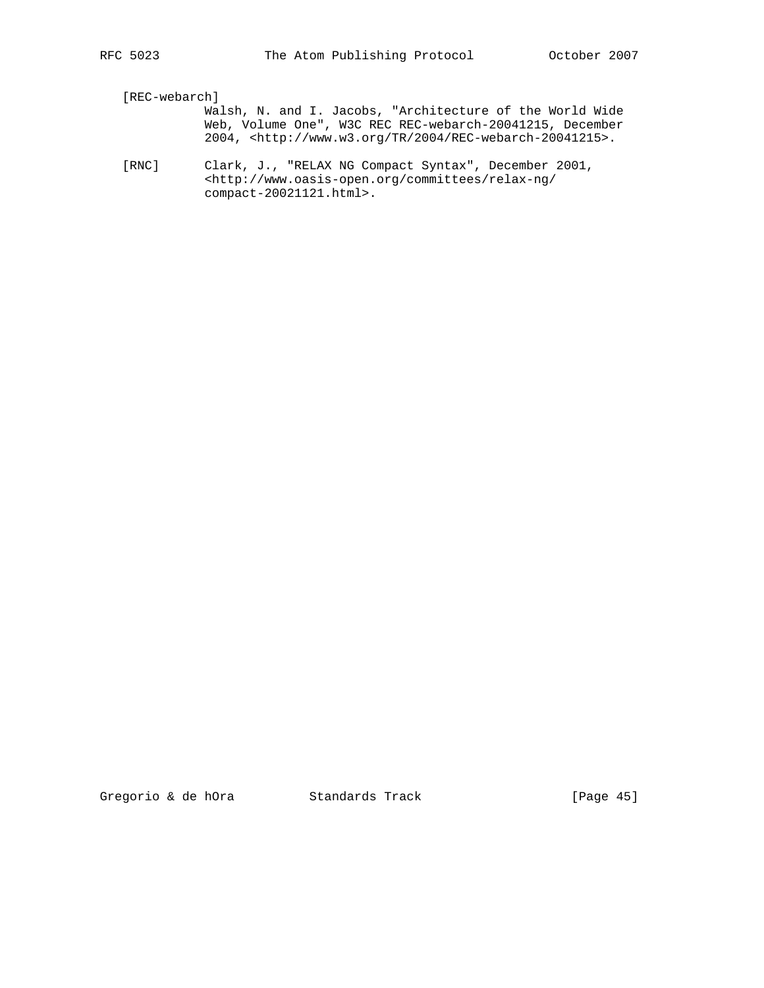[REC-webarch]

- Walsh, N. and I. Jacobs, "Architecture of the World Wide Web, Volume One", W3C REC REC-webarch-20041215, December 2004, <http://www.w3.org/TR/2004/REC-webarch-20041215>.
	- [RNC] Clark, J., "RELAX NG Compact Syntax", December 2001, <http://www.oasis-open.org/committees/relax-ng/ compact-20021121.html>.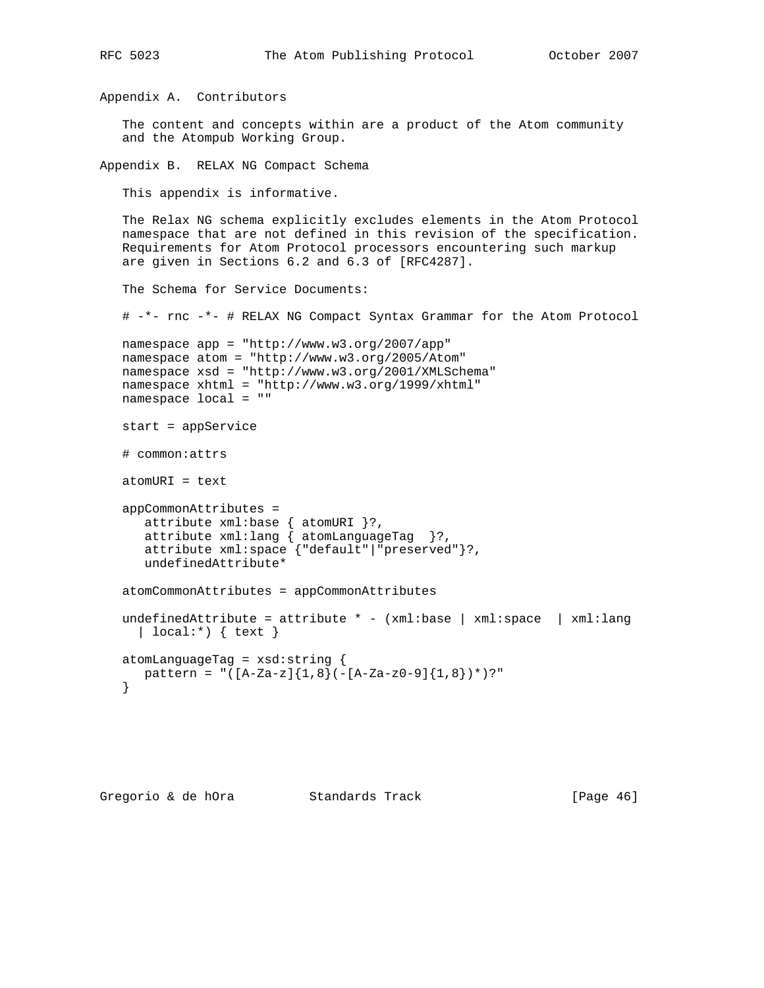```
Appendix A. Contributors
    The content and concepts within are a product of the Atom community
    and the Atompub Working Group.
Appendix B. RELAX NG Compact Schema
    This appendix is informative.
   The Relax NG schema explicitly excludes elements in the Atom Protocol
   namespace that are not defined in this revision of the specification.
   Requirements for Atom Protocol processors encountering such markup
   are given in Sections 6.2 and 6.3 of [RFC4287].
   The Schema for Service Documents:
    # -*- rnc -*- # RELAX NG Compact Syntax Grammar for the Atom Protocol
   namespace app = "http://www.w3.org/2007/app"
   namespace atom = "http://www.w3.org/2005/Atom"
   namespace xsd = "http://www.w3.org/2001/XMLSchema"
   namespace xhtml = "http://www.w3.org/1999/xhtml"
   namespace local = ""
   start = appService
    # common:attrs
   atomURI = text
   appCommonAttributes =
      attribute xml:base { atomURI }?,
      attribute xml:lang \{ atomLanguageTag\}?,
       attribute xml:space {"default"|"preserved"}?,
       undefinedAttribute*
    atomCommonAttributes = appCommonAttributes
  undefinedAttribute = attribute * - (xm1:base | xm1:space | xm1:lang) | local:*) { text }
   atomLanguageTag = xsd:string {
      pattern = "([A-Za-z]{1,8}(-[A-Za-z0-9]{1,8})*)?"
    }
```
RFC 5023 The Atom Publishing Protocol October 2007

```
Gregorio & de hOra               Standards Track                     [Page 46]
```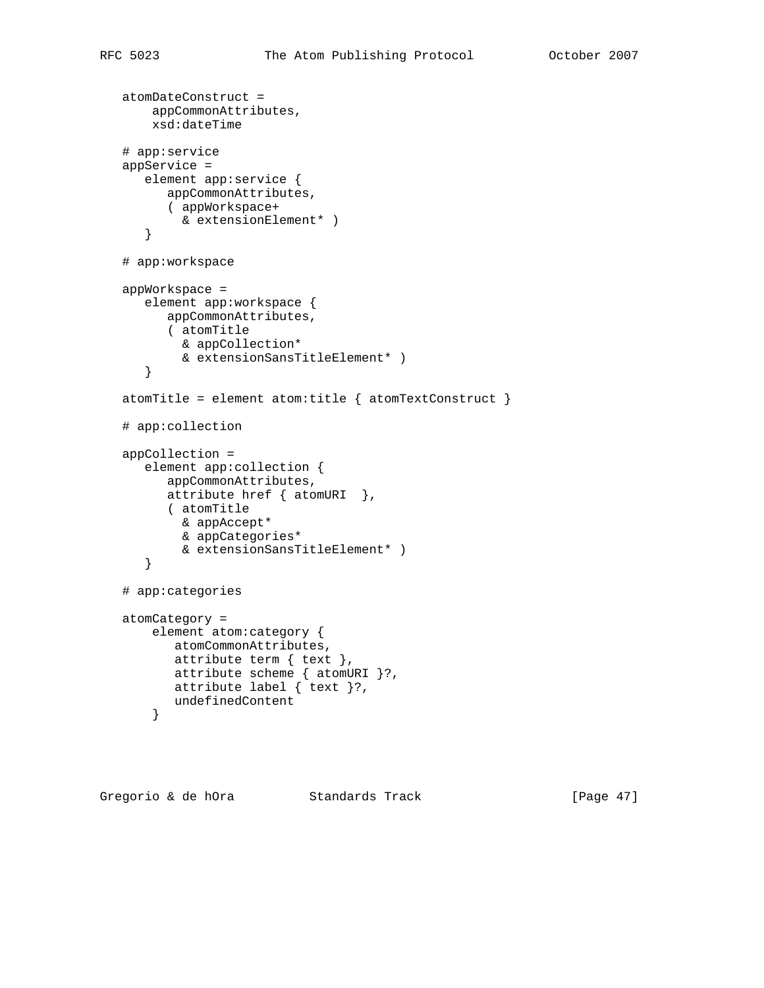```
 atomDateConstruct =
     appCommonAttributes,
     xsd:dateTime
 # app:service
 appService =
    element app:service {
       appCommonAttributes,
       ( appWorkspace+
         & extensionElement* )
    }
 # app:workspace
 appWorkspace =
    element app:workspace {
       appCommonAttributes,
       ( atomTitle
         & appCollection*
         & extensionSansTitleElement* )
    }
atomTitle = element atom:title { atomic atomTextConstruct }
 # app:collection
 appCollection =
    element app:collection {
       appCommonAttributes,
       attribute href { atomURI },
       ( atomTitle
         & appAccept*
         & appCategories*
         & extensionSansTitleElement* )
    }
 # app:categories
 atomCategory =
     element atom:category {
        atomCommonAttributes,
        attribute term { text },
        attribute scheme { atomURI }?,
        attribute label { text }?,
        undefinedContent
     }
```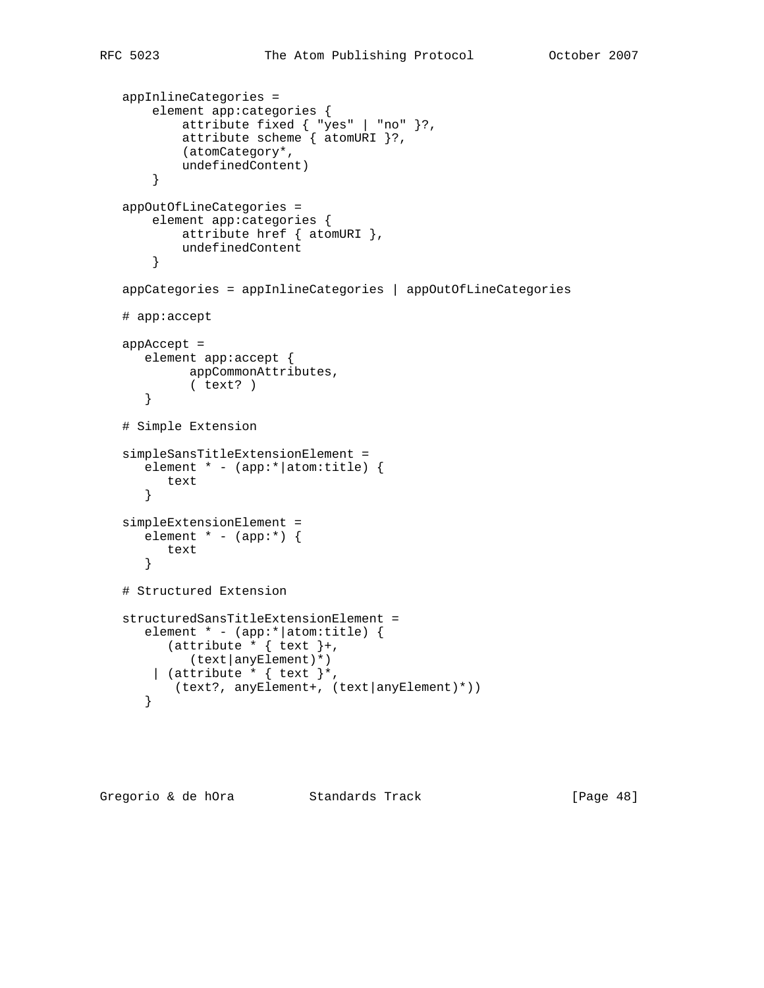```
 appInlineCategories =
       element app:categories {
 attribute fixed { "yes" | "no" }?,
 attribute scheme { atomURI }?,
           (atomCategory*,
           undefinedContent)
        }
   appOutOfLineCategories =
       element app:categories {
           attribute href { atomURI },
           undefinedContent
        }
   appCategories = appInlineCategories | appOutOfLineCategories
   # app:accept
   appAccept =
      element app:accept {
            appCommonAttributes,
            ( text? )
      }
   # Simple Extension
   simpleSansTitleExtensionElement =
      element * - (app:*|atom:title) {
         text
      }
   simpleExtensionElement =
     element * - (app:*) {
         text
      }
   # Structured Extension
   structuredSansTitleExtensionElement =
      element * - (app:*|atom:title) {
        (attribute * { text }+,
            (text|anyElement)*)
      | (attribute * { text }*,
          (text?, anyElement+, (text|anyElement)*))
       }
```
Gregorio & de hOra Standards Track [Page 48]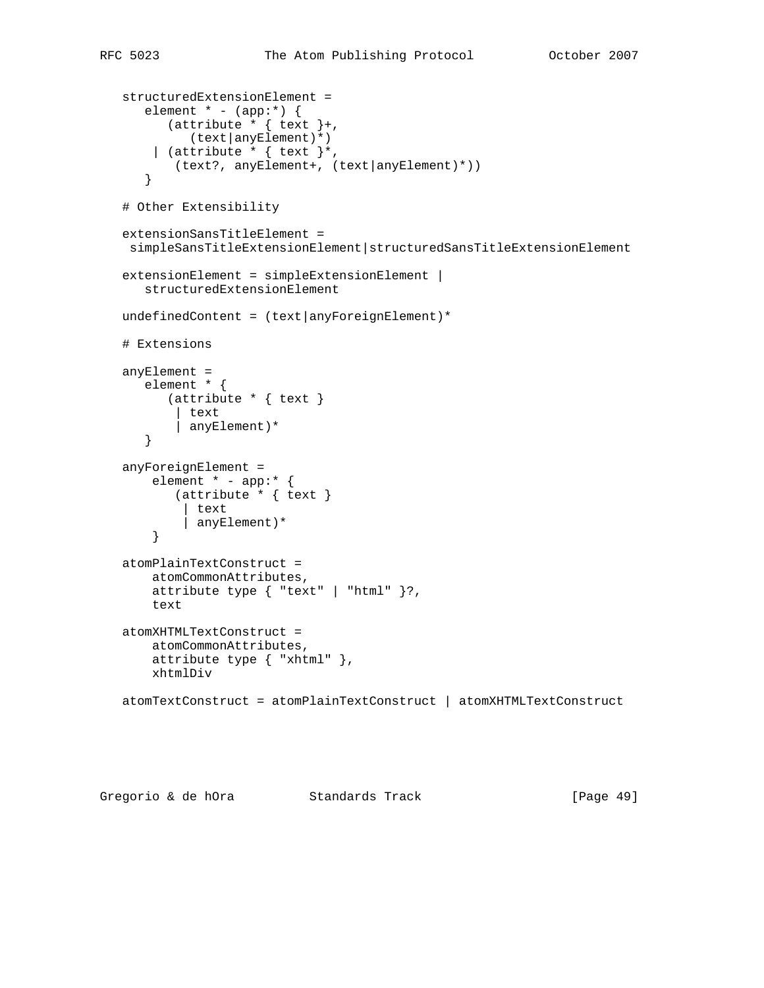```
 structuredExtensionElement =
   element * - (app:*) {
     (attribute * { text }+,
          (text|anyElement)*)
     | (attribute * { text }*,
       (text?, anyElement+, (text|anyElement)*))
    }
 # Other Extensibility
 extensionSansTitleElement =
 simpleSansTitleExtensionElement|structuredSansTitleExtensionElement
extensionElement = simpleExtensionElement |
    structuredExtensionElement
undefinedContent = (text|anyForeignElement)* # Extensions
 anyElement =
    element * {
       (attribute * { text }
       | text
        | anyElement)*
    }
 anyForeignElement =
    element * - app:* {
       (attribute * { text }
         | text
         | anyElement)*
     }
 atomPlainTextConstruct =
     atomCommonAttributes,
     attribute type { "text" | "html" }?,
     text
 atomXHTMLTextConstruct =
     atomCommonAttributes,
     attribute type { "xhtml" },
     xhtmlDiv
 atomTextConstruct = atomPlainTextConstruct | atomXHTMLTextConstruct
```
Gregorio & de hOra Standards Track [Page 49]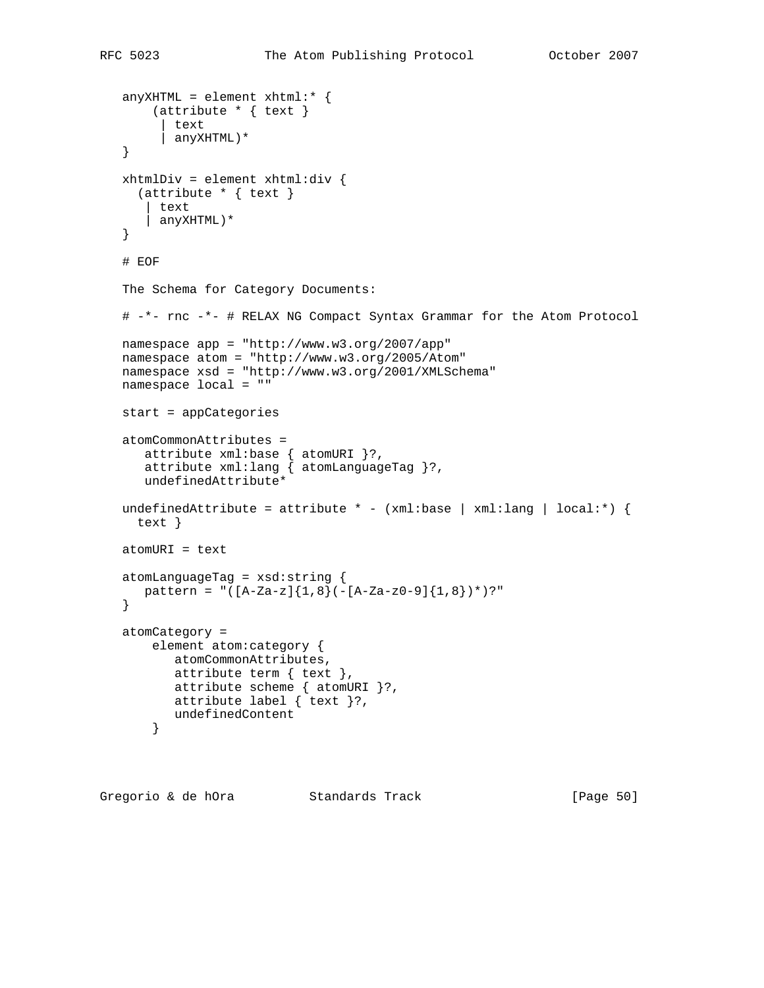```
 anyXHTML = element xhtml:* {
    (attribute * { text }
      | text
      | anyXHTML)*
 }
 xhtmlDiv = element xhtml:div {
  (attribute * { text }
    | text
    | anyXHTML)*
 }
 # EOF
 The Schema for Category Documents:
 # -*- rnc -*- # RELAX NG Compact Syntax Grammar for the Atom Protocol
 namespace app = "http://www.w3.org/2007/app"
 namespace atom = "http://www.w3.org/2005/Atom"
 namespace xsd = "http://www.w3.org/2001/XMLSchema"
 namespace local = ""
 start = appCategories
 atomCommonAttributes =
    attribute xml:base { atomURI }?,
    attribute xml:lang { atomLanguageTag }?,
    undefinedAttribute*
undefinedAttribute = attribute * - (xml:base | xml:lang | local:*) {
  text }
 atomURI = text
 atomLanguageTag = xsd:string {
  pattern = "([A-Za-z]\{1,8\}(-[A-Za-z0-9]\{1,8\})*)?"
 }
 atomCategory =
     element atom:category {
       atomCommonAttributes,
        attribute term { text },
       attribute scheme { atomURI }?,
       attribute label { text }?,
        undefinedContent
     }
```
Gregorio & de hOra Standards Track [Page 50]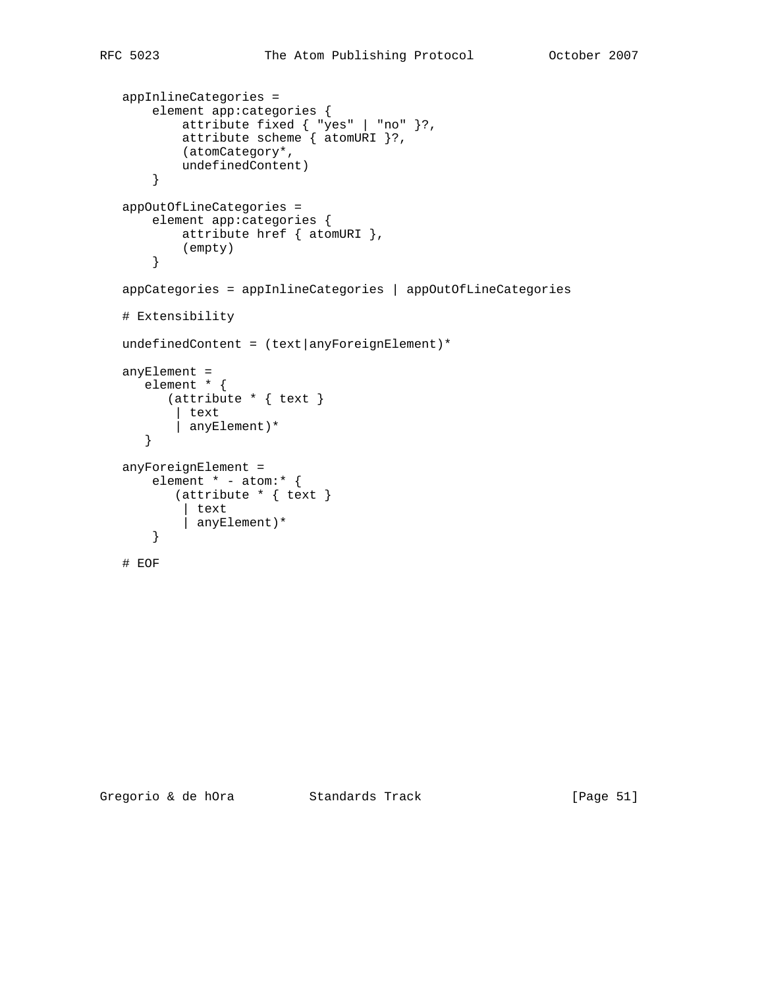```
 appInlineCategories =
       element app:categories {
 attribute fixed { "yes" | "no" }?,
 attribute scheme { atomURI }?,
           (atomCategory*,
           undefinedContent)
       }
   appOutOfLineCategories =
       element app:categories {
           attribute href { atomURI },
           (empty)
       }
   appCategories = appInlineCategories | appOutOfLineCategories
   # Extensibility
  undefinedContent = (text|anyForeignElement)* anyElement =
      element * {
         (attribute * { text }
          | text
           | anyElement)*
      }
   anyForeignElement =
       element * - atom:* {
          (attribute * { text }
           | text
            | anyElement)*
       }
```
# EOF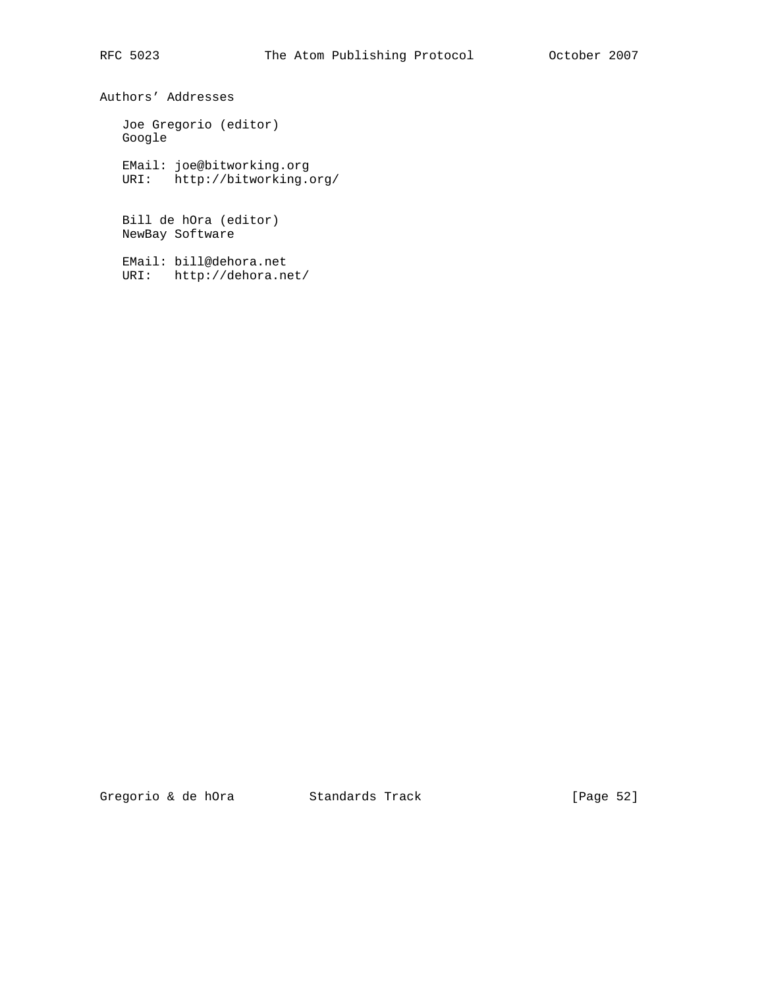Authors' Addresses

 Joe Gregorio (editor) Google

 EMail: joe@bitworking.org URI: http://bitworking.org/

 Bill de hOra (editor) NewBay Software

 EMail: bill@dehora.net URI: http://dehora.net/